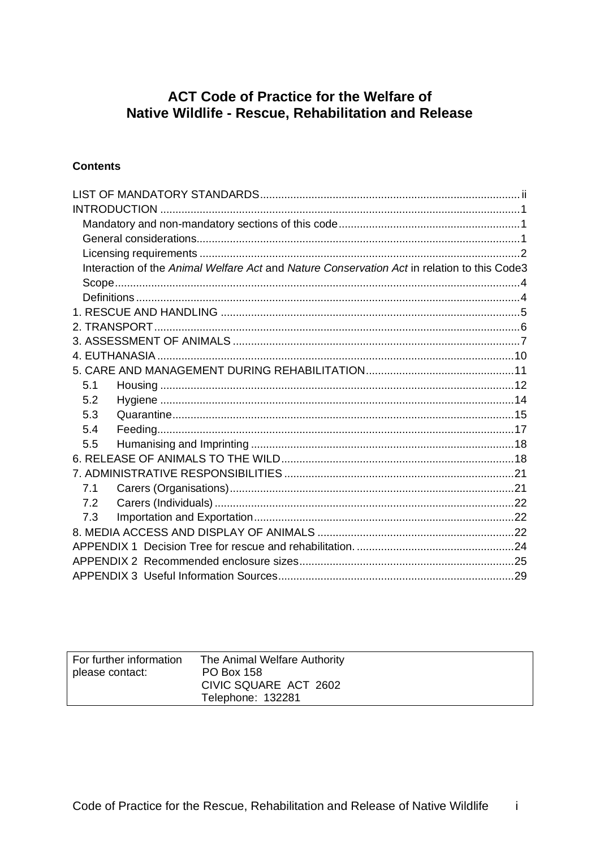# **ACT Code of Practice for the Welfare of** Native Wildlife - Rescue, Rehabilitation and Release

## **Contents**

| Interaction of the Animal Welfare Act and Nature Conservation Act in relation to this Code3 |  |
|---------------------------------------------------------------------------------------------|--|
|                                                                                             |  |
|                                                                                             |  |
|                                                                                             |  |
|                                                                                             |  |
|                                                                                             |  |
|                                                                                             |  |
|                                                                                             |  |
| 5.1                                                                                         |  |
| 5.2                                                                                         |  |
| 5.3                                                                                         |  |
| 5.4                                                                                         |  |
| 5.5                                                                                         |  |
|                                                                                             |  |
|                                                                                             |  |
| 7.1                                                                                         |  |
| 7.2                                                                                         |  |
| 7.3                                                                                         |  |
|                                                                                             |  |
|                                                                                             |  |
|                                                                                             |  |
|                                                                                             |  |

| For further information<br>please contact: | The Animal Welfare Authority<br>PO Box 158 |
|--------------------------------------------|--------------------------------------------|
|                                            | CIVIC SQUARE ACT 2602                      |
|                                            | Telephone: 132281                          |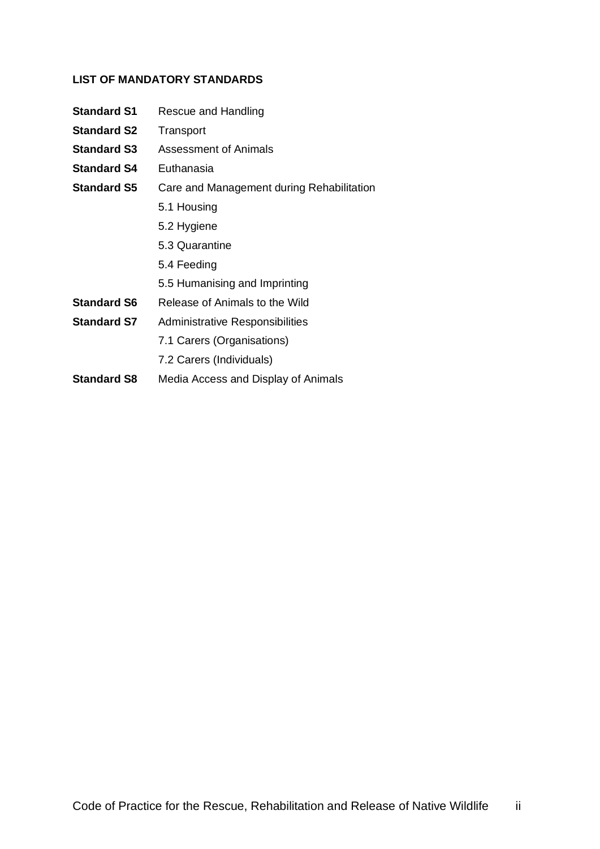#### <span id="page-1-0"></span>**LIST OF MANDATORY STANDARDS**

- **Standard S1** Rescue and Handling
- **Standard S2** Transport
- **Standard S3** Assessment of Animals
- **Standard S4** Euthanasia
- **Standard S5** Care and Management during Rehabilitation
	- 5.1 Housing
	- 5.2 Hygiene
	- 5.3 Quarantine
	- 5.4 Feeding
	- 5.5 Humanising and Imprinting
- **Standard S6** Release of Animals to the Wild
- **Standard S7** Administrative Responsibilities
	- 7.1 Carers (Organisations)
	- 7.2 Carers (Individuals)
- **Standard S8** Media Access and Display of Animals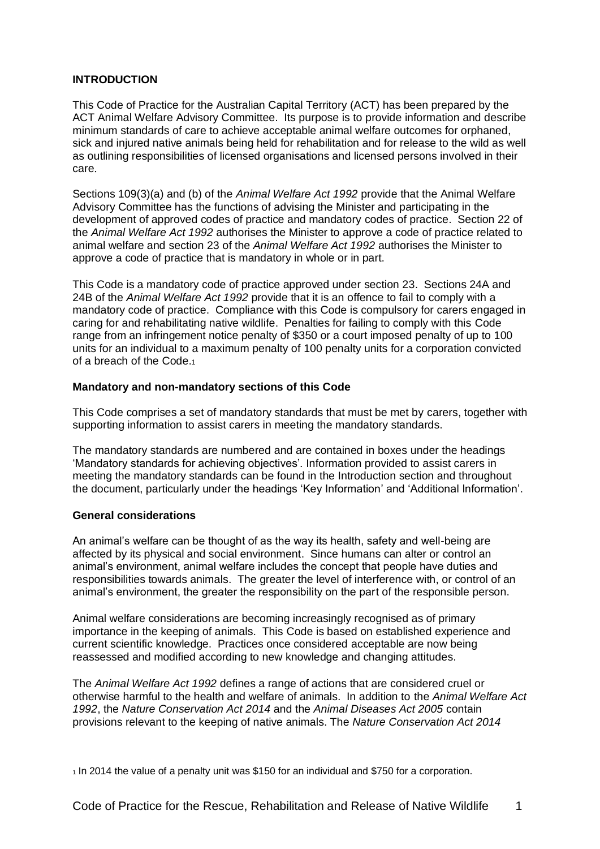#### <span id="page-2-0"></span>**INTRODUCTION**

This Code of Practice for the Australian Capital Territory (ACT) has been prepared by the ACT Animal Welfare Advisory Committee. Its purpose is to provide information and describe minimum standards of care to achieve acceptable animal welfare outcomes for orphaned, sick and injured native animals being held for rehabilitation and for release to the wild as well as outlining responsibilities of licensed organisations and licensed persons involved in their care*.* 

Sections 109(3)(a) and (b) of the *Animal Welfare Act 1992* provide that the Animal Welfare Advisory Committee has the functions of advising the Minister and participating in the development of approved codes of practice and mandatory codes of practice. Section 22 of the *Animal Welfare Act 1992* authorises the Minister to approve a code of practice related to animal welfare and section 23 of the *Animal Welfare Act 1992* authorises the Minister to approve a code of practice that is mandatory in whole or in part.

This Code is a mandatory code of practice approved under section 23. Sections 24A and 24B of the *Animal Welfare Act 1992* provide that it is an offence to fail to comply with a mandatory code of practice. Compliance with this Code is compulsory for carers engaged in caring for and rehabilitating native wildlife. Penalties for failing to comply with this Code range from an infringement notice penalty of \$350 or a court imposed penalty of up to 100 units for an individual to a maximum penalty of 100 penalty units for a corporation convicted of a breach of the Code.<sup>1</sup>

#### <span id="page-2-1"></span>**Mandatory and non-mandatory sections of this Code**

This Code comprises a set of mandatory standards that must be met by carers, together with supporting information to assist carers in meeting the mandatory standards.

The mandatory standards are numbered and are contained in boxes under the headings 'Mandatory standards for achieving objectives'. Information provided to assist carers in meeting the mandatory standards can be found in the Introduction section and throughout the document, particularly under the headings 'Key Information' and 'Additional Information'.

#### <span id="page-2-2"></span>**General considerations**

An animal's welfare can be thought of as the way its health, safety and well-being are affected by its physical and social environment. Since humans can alter or control an animal's environment, animal welfare includes the concept that people have duties and responsibilities towards animals. The greater the level of interference with, or control of an animal's environment, the greater the responsibility on the part of the responsible person.

Animal welfare considerations are becoming increasingly recognised as of primary importance in the keeping of animals. This Code is based on established experience and current scientific knowledge. Practices once considered acceptable are now being reassessed and modified according to new knowledge and changing attitudes.

The *Animal Welfare Act 1992* defines a range of actions that are considered cruel or otherwise harmful to the health and welfare of animals. In addition to the *Animal Welfare Act 1992*, the *Nature Conservation Act 2014* and the *Animal Diseases Act 2005* contain provisions relevant to the keeping of native animals. The *Nature Conservation Act 2014*

<sup>1</sup> In 2014 the value of a penalty unit was \$150 for an individual and \$750 for a corporation.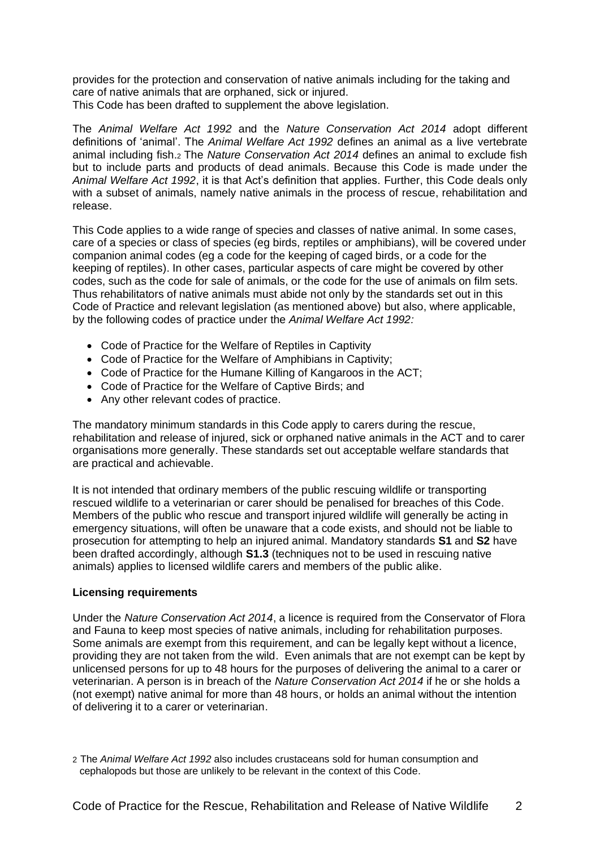provides for the protection and conservation of native animals including for the taking and care of native animals that are orphaned, sick or injured. This Code has been drafted to supplement the above legislation.

The *Animal Welfare Act 1992* and the *Nature Conservation Act 2014* adopt different definitions of 'animal'. The *Animal Welfare Act 1992* defines an animal as a live vertebrate animal including fish.<sup>2</sup> The *Nature Conservation Act 2014* defines an animal to exclude fish but to include parts and products of dead animals. Because this Code is made under the *Animal Welfare Act 1992*, it is that Act's definition that applies. Further, this Code deals only with a subset of animals, namely native animals in the process of rescue, rehabilitation and release.

This Code applies to a wide range of species and classes of native animal. In some cases, care of a species or class of species (eg birds, reptiles or amphibians), will be covered under companion animal codes (eg a code for the keeping of caged birds, or a code for the keeping of reptiles). In other cases, particular aspects of care might be covered by other codes, such as the code for sale of animals, or the code for the use of animals on film sets. Thus rehabilitators of native animals must abide not only by the standards set out in this Code of Practice and relevant legislation (as mentioned above) but also, where applicable, by the following codes of practice under the *Animal Welfare Act 1992:*

- Code of Practice for the Welfare of Reptiles in Captivity
- Code of Practice for the Welfare of Amphibians in Captivity;
- Code of Practice for the Humane Killing of Kangaroos in the ACT;
- Code of Practice for the Welfare of Captive Birds; and
- Any other relevant codes of practice.

The mandatory minimum standards in this Code apply to carers during the rescue, rehabilitation and release of injured, sick or orphaned native animals in the ACT and to carer organisations more generally. These standards set out acceptable welfare standards that are practical and achievable.

It is not intended that ordinary members of the public rescuing wildlife or transporting rescued wildlife to a veterinarian or carer should be penalised for breaches of this Code. Members of the public who rescue and transport injured wildlife will generally be acting in emergency situations, will often be unaware that a code exists, and should not be liable to prosecution for attempting to help an injured animal. Mandatory standards **S1** and **S2** have been drafted accordingly, although **S1.3** (techniques not to be used in rescuing native animals) applies to licensed wildlife carers and members of the public alike.

## <span id="page-3-0"></span>**Licensing requirements**

Under the *Nature Conservation Act 2014*, a licence is required from the Conservator of Flora and Fauna to keep most species of native animals, including for rehabilitation purposes. Some animals are exempt from this requirement, and can be legally kept without a licence, providing they are not taken from the wild. Even animals that are not exempt can be kept by unlicensed persons for up to 48 hours for the purposes of delivering the animal to a carer or veterinarian. A person is in breach of the *Nature Conservation Act 2014* if he or she holds a (not exempt) native animal for more than 48 hours, or holds an animal without the intention of delivering it to a carer or veterinarian.

<sup>2</sup> The *Animal Welfare Act 1992* also includes crustaceans sold for human consumption and cephalopods but those are unlikely to be relevant in the context of this Code.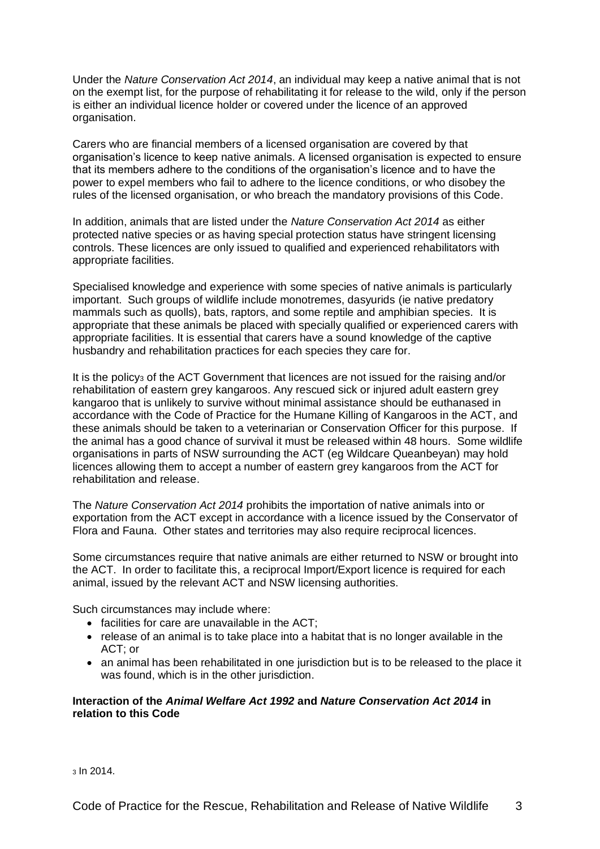Under the *Nature Conservation Act 2014*, an individual may keep a native animal that is not on the exempt list, for the purpose of rehabilitating it for release to the wild, only if the person is either an individual licence holder or covered under the licence of an approved organisation.

Carers who are financial members of a licensed organisation are covered by that organisation's licence to keep native animals. A licensed organisation is expected to ensure that its members adhere to the conditions of the organisation's licence and to have the power to expel members who fail to adhere to the licence conditions, or who disobey the rules of the licensed organisation, or who breach the mandatory provisions of this Code.

In addition, animals that are listed under the *Nature Conservation Act 2014* as either protected native species or as having special protection status have stringent licensing controls. These licences are only issued to qualified and experienced rehabilitators with appropriate facilities.

Specialised knowledge and experience with some species of native animals is particularly important. Such groups of wildlife include monotremes, dasyurids (ie native predatory mammals such as quolls), bats, raptors, and some reptile and amphibian species. It is appropriate that these animals be placed with specially qualified or experienced carers with appropriate facilities. It is essential that carers have a sound knowledge of the captive husbandry and rehabilitation practices for each species they care for.

It is the policy<sub>3</sub> of the ACT Government that licences are not issued for the raising and/or rehabilitation of eastern grey kangaroos. Any rescued sick or injured adult eastern grey kangaroo that is unlikely to survive without minimal assistance should be euthanased in accordance with the Code of Practice for the Humane Killing of Kangaroos in the ACT, and these animals should be taken to a veterinarian or Conservation Officer for this purpose. If the animal has a good chance of survival it must be released within 48 hours. Some wildlife organisations in parts of NSW surrounding the ACT (eg Wildcare Queanbeyan) may hold licences allowing them to accept a number of eastern grey kangaroos from the ACT for rehabilitation and release.

The *Nature Conservation Act 2014* prohibits the importation of native animals into or exportation from the ACT except in accordance with a licence issued by the Conservator of Flora and Fauna. Other states and territories may also require reciprocal licences.

Some circumstances require that native animals are either returned to NSW or brought into the ACT. In order to facilitate this, a reciprocal Import/Export licence is required for each animal, issued by the relevant ACT and NSW licensing authorities.

Such circumstances may include where:

- facilities for care are unavailable in the ACT;
- release of an animal is to take place into a habitat that is no longer available in the ACT; or
- an animal has been rehabilitated in one jurisdiction but is to be released to the place it was found, which is in the other jurisdiction.

#### <span id="page-4-0"></span>**Interaction of the** *Animal Welfare Act 1992* **and** *Nature Conservation Act 2014* **in relation to this Code**

<sup>3</sup> In 2014.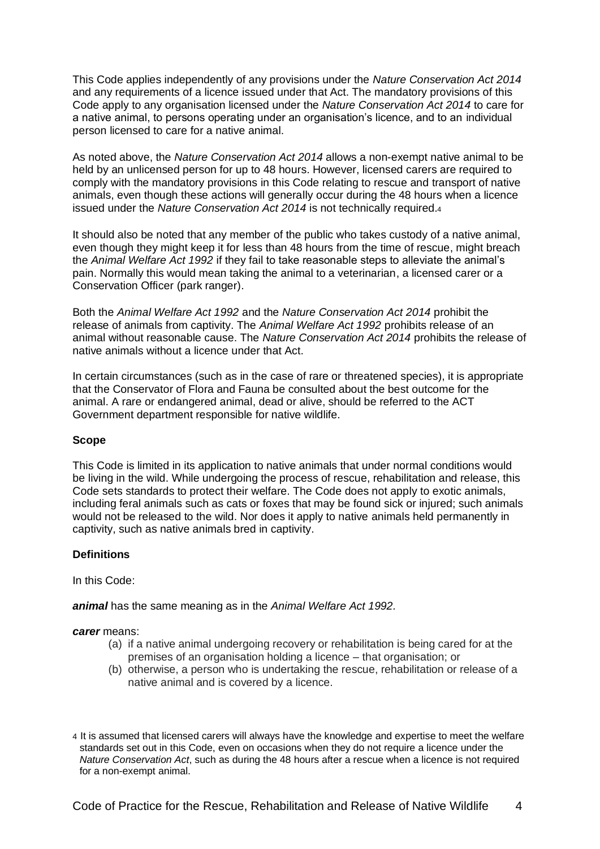This Code applies independently of any provisions under the *Nature Conservation Act 2014*  and any requirements of a licence issued under that Act. The mandatory provisions of this Code apply to any organisation licensed under the *Nature Conservation Act 2014* to care for a native animal, to persons operating under an organisation's licence, and to an individual person licensed to care for a native animal.

As noted above, the *Nature Conservation Act 2014* allows a non-exempt native animal to be held by an unlicensed person for up to 48 hours. However, licensed carers are required to comply with the mandatory provisions in this Code relating to rescue and transport of native animals, even though these actions will generally occur during the 48 hours when a licence issued under the *Nature Conservation Act 2014* is not technically required.<sup>4</sup>

It should also be noted that any member of the public who takes custody of a native animal, even though they might keep it for less than 48 hours from the time of rescue, might breach the *Animal Welfare Act 1992* if they fail to take reasonable steps to alleviate the animal's pain. Normally this would mean taking the animal to a veterinarian, a licensed carer or a Conservation Officer (park ranger).

Both the *Animal Welfare Act 1992* and the *Nature Conservation Act 2014* prohibit the release of animals from captivity. The *Animal Welfare Act 1992* prohibits release of an animal without reasonable cause. The *Nature Conservation Act 2014* prohibits the release of native animals without a licence under that Act.

In certain circumstances (such as in the case of rare or threatened species), it is appropriate that the Conservator of Flora and Fauna be consulted about the best outcome for the animal. A rare or endangered animal, dead or alive, should be referred to the ACT Government department responsible for native wildlife.

#### <span id="page-5-0"></span>**Scope**

This Code is limited in its application to native animals that under normal conditions would be living in the wild. While undergoing the process of rescue, rehabilitation and release, this Code sets standards to protect their welfare. The Code does not apply to exotic animals, including feral animals such as cats or foxes that may be found sick or injured; such animals would not be released to the wild. Nor does it apply to native animals held permanently in captivity, such as native animals bred in captivity.

## <span id="page-5-1"></span>**Definitions**

In this Code:

*animal* has the same meaning as in the *Animal Welfare Act 1992.*

#### *carer* means:

- (a) if a native animal undergoing recovery or rehabilitation is being cared for at the premises of an organisation holding a licence – that organisation; or
- (b) otherwise, a person who is undertaking the rescue, rehabilitation or release of a native animal and is covered by a licence.

<sup>4</sup> It is assumed that licensed carers will always have the knowledge and expertise to meet the welfare standards set out in this Code, even on occasions when they do not require a licence under the *Nature Conservation Act*, such as during the 48 hours after a rescue when a licence is not required for a non-exempt animal.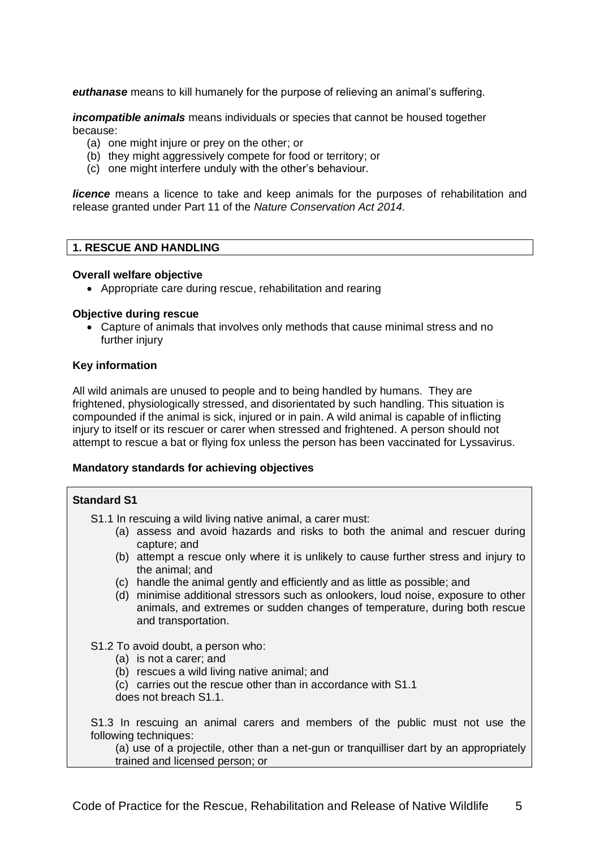*euthanase* means to kill humanely for the purpose of relieving an animal's suffering.

*incompatible animals* means individuals or species that cannot be housed together because:

- (a) one might injure or prey on the other; or
- (b) they might aggressively compete for food or territory; or
- (c) one might interfere unduly with the other's behaviour.

**licence** means a licence to take and keep animals for the purposes of rehabilitation and release granted under Part 11 of the *Nature Conservation Act 2014.*

#### <span id="page-6-0"></span>**1. RESCUE AND HANDLING**

#### **Overall welfare objective**

• Appropriate care during rescue, rehabilitation and rearing

#### **Objective during rescue**

• Capture of animals that involves only methods that cause minimal stress and no further injury

#### **Key information**

All wild animals are unused to people and to being handled by humans. They are frightened, physiologically stressed, and disorientated by such handling. This situation is compounded if the animal is sick, injured or in pain. A wild animal is capable of inflicting injury to itself or its rescuer or carer when stressed and frightened. A person should not attempt to rescue a bat or flying fox unless the person has been vaccinated for Lyssavirus.

#### **Mandatory standards for achieving objectives**

## **Standard S1** S1.1 In rescuing a wild living native animal, a carer must: (a) assess and avoid hazards and risks to both the animal and rescuer during capture; and (b) attempt a rescue only where it is unlikely to cause further stress and injury to the animal; and (c) handle the animal gently and efficiently and as little as possible; and (d) minimise additional stressors such as onlookers, loud noise, exposure to other animals, and extremes or sudden changes of temperature, during both rescue and transportation. S1.2 To avoid doubt, a person who: (a) is not a carer; and (b) rescues a wild living native animal; and (c) carries out the rescue other than in accordance with S1.1 does not breach S1.1. S1.3 In rescuing an animal carers and members of the public must not use the following techniques: (a) use of a projectile, other than a net-gun or tranquilliser dart by an appropriately trained and licensed person; or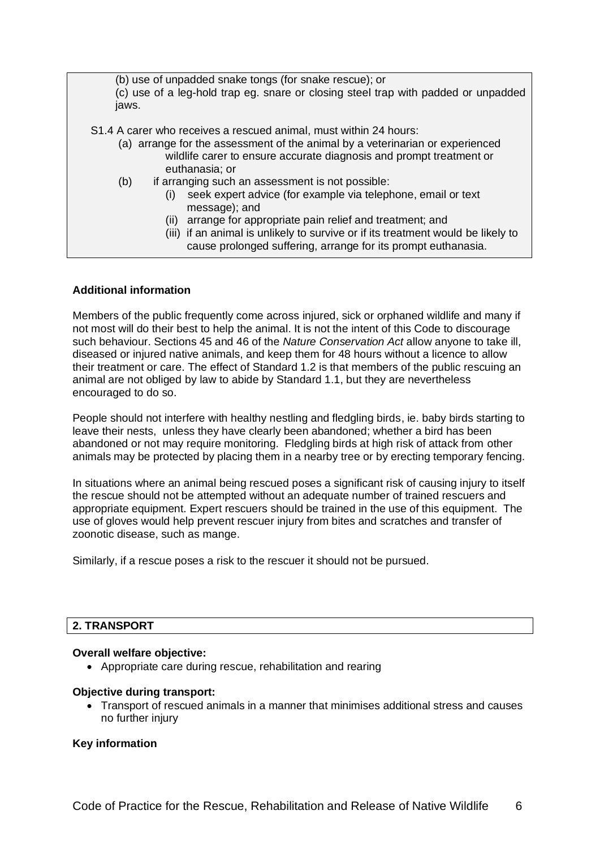(b) use of unpadded snake tongs (for snake rescue); or (c) use of a leg-hold trap eg. snare or closing steel trap with padded or unpadded jaws.

S1.4 A carer who receives a rescued animal, must within 24 hours:

- (a) arrange for the assessment of the animal by a veterinarian or experienced wildlife carer to ensure accurate diagnosis and prompt treatment or euthanasia; or
- (b) if arranging such an assessment is not possible:
	- (i) seek expert advice (for example via telephone, email or text message); and
	- (ii) arrange for appropriate pain relief and treatment; and
	- (iii) if an animal is unlikely to survive or if its treatment would be likely to cause prolonged suffering, arrange for its prompt euthanasia.

#### **Additional information**

Members of the public frequently come across injured, sick or orphaned wildlife and many if not most will do their best to help the animal. It is not the intent of this Code to discourage such behaviour. Sections 45 and 46 of the *Nature Conservation Act* allow anyone to take ill, diseased or injured native animals, and keep them for 48 hours without a licence to allow their treatment or care. The effect of Standard 1.2 is that members of the public rescuing an animal are not obliged by law to abide by Standard 1.1, but they are nevertheless encouraged to do so.

People should not interfere with healthy nestling and fledgling birds, ie. baby birds starting to leave their nests, unless they have clearly been abandoned; whether a bird has been abandoned or not may require monitoring. Fledgling birds at high risk of attack from other animals may be protected by placing them in a nearby tree or by erecting temporary fencing.

In situations where an animal being rescued poses a significant risk of causing injury to itself the rescue should not be attempted without an adequate number of trained rescuers and appropriate equipment. Expert rescuers should be trained in the use of this equipment. The use of gloves would help prevent rescuer injury from bites and scratches and transfer of zoonotic disease, such as mange.

Similarly, if a rescue poses a risk to the rescuer it should not be pursued.

## <span id="page-7-0"></span>**2. TRANSPORT**

#### **Overall welfare objective:**

• Appropriate care during rescue, rehabilitation and rearing

#### **Objective during transport:**

• Transport of rescued animals in a manner that minimises additional stress and causes no further injury

#### **Key information**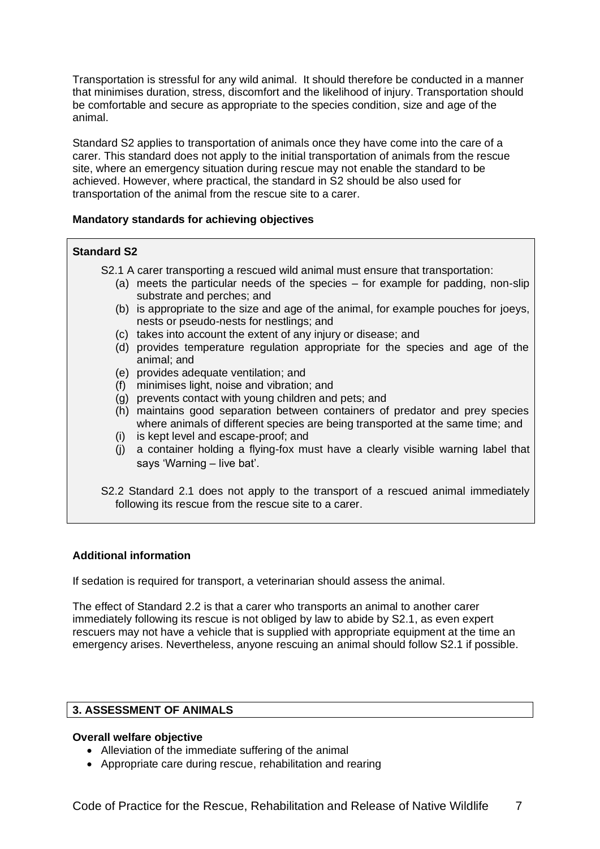Transportation is stressful for any wild animal. It should therefore be conducted in a manner that minimises duration, stress, discomfort and the likelihood of injury. Transportation should be comfortable and secure as appropriate to the species condition, size and age of the animal.

Standard S2 applies to transportation of animals once they have come into the care of a carer. This standard does not apply to the initial transportation of animals from the rescue site, where an emergency situation during rescue may not enable the standard to be achieved. However, where practical, the standard in S2 should be also used for transportation of the animal from the rescue site to a carer.

#### **Mandatory standards for achieving objectives**

#### **Standard S2**

- S2.1 A carer transporting a rescued wild animal must ensure that transportation:
	- (a) meets the particular needs of the species for example for padding, non-slip substrate and perches; and
	- (b) is appropriate to the size and age of the animal, for example pouches for joeys, nests or pseudo-nests for nestlings; and
	- (c) takes into account the extent of any injury or disease; and
	- (d) provides temperature regulation appropriate for the species and age of the animal; and
	- (e) provides adequate ventilation; and
	- (f) minimises light, noise and vibration; and
	- (g) prevents contact with young children and pets; and
	- (h) maintains good separation between containers of predator and prey species where animals of different species are being transported at the same time; and
	- (i) is kept level and escape-proof; and
	- (j) a container holding a flying-fox must have a clearly visible warning label that says 'Warning – live bat'.
- S2.2 Standard 2.1 does not apply to the transport of a rescued animal immediately following its rescue from the rescue site to a carer.

## **Additional information**

If sedation is required for transport, a veterinarian should assess the animal.

The effect of Standard 2.2 is that a carer who transports an animal to another carer immediately following its rescue is not obliged by law to abide by S2.1, as even expert rescuers may not have a vehicle that is supplied with appropriate equipment at the time an emergency arises. Nevertheless, anyone rescuing an animal should follow S2.1 if possible.

## <span id="page-8-0"></span>**3. ASSESSMENT OF ANIMALS**

#### **Overall welfare objective**

- Alleviation of the immediate suffering of the animal
- Appropriate care during rescue, rehabilitation and rearing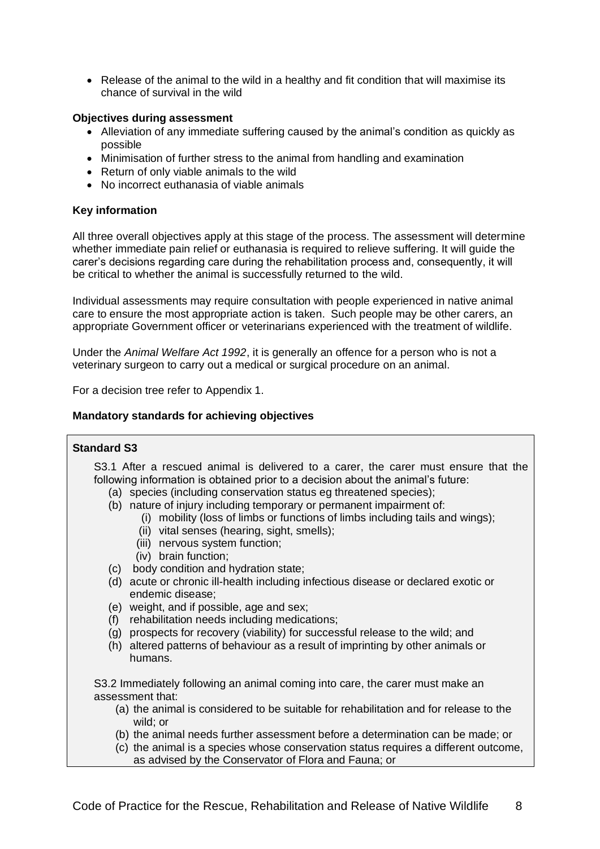• Release of the animal to the wild in a healthy and fit condition that will maximise its chance of survival in the wild

#### **Objectives during assessment**

- Alleviation of any immediate suffering caused by the animal's condition as quickly as possible
- Minimisation of further stress to the animal from handling and examination
- Return of only viable animals to the wild
- No incorrect euthanasia of viable animals

#### **Key information**

All three overall objectives apply at this stage of the process. The assessment will determine whether immediate pain relief or euthanasia is required to relieve suffering. It will guide the carer's decisions regarding care during the rehabilitation process and, consequently, it will be critical to whether the animal is successfully returned to the wild.

Individual assessments may require consultation with people experienced in native animal care to ensure the most appropriate action is taken. Such people may be other carers, an appropriate Government officer or veterinarians experienced with the treatment of wildlife.

Under the *Animal Welfare Act 1992*, it is generally an offence for a person who is not a veterinary surgeon to carry out a medical or surgical procedure on an animal.

For a decision tree refer to Appendix 1.

#### **Mandatory standards for achieving objectives**

#### **Standard S3**

S3.1 After a rescued animal is delivered to a carer, the carer must ensure that the following information is obtained prior to a decision about the animal's future:

- (a) species (including conservation status eg threatened species);
- (b) nature of injury including temporary or permanent impairment of:
	- (i) mobility (loss of limbs or functions of limbs including tails and wings);
	- (ii) vital senses (hearing, sight, smells);
	- (iii) nervous system function;
	- (iv) brain function;
- (c) body condition and hydration state;
- (d) acute or chronic ill-health including infectious disease or declared exotic or endemic disease;
- (e) weight, and if possible, age and sex;
- (f) rehabilitation needs including medications;
- (g) prospects for recovery (viability) for successful release to the wild; and
- (h) altered patterns of behaviour as a result of imprinting by other animals or humans.

S3.2 Immediately following an animal coming into care, the carer must make an assessment that:

- (a) the animal is considered to be suitable for rehabilitation and for release to the wild; or
- (b) the animal needs further assessment before a determination can be made; or
- (c) the animal is a species whose conservation status requires a different outcome, as advised by the Conservator of Flora and Fauna; or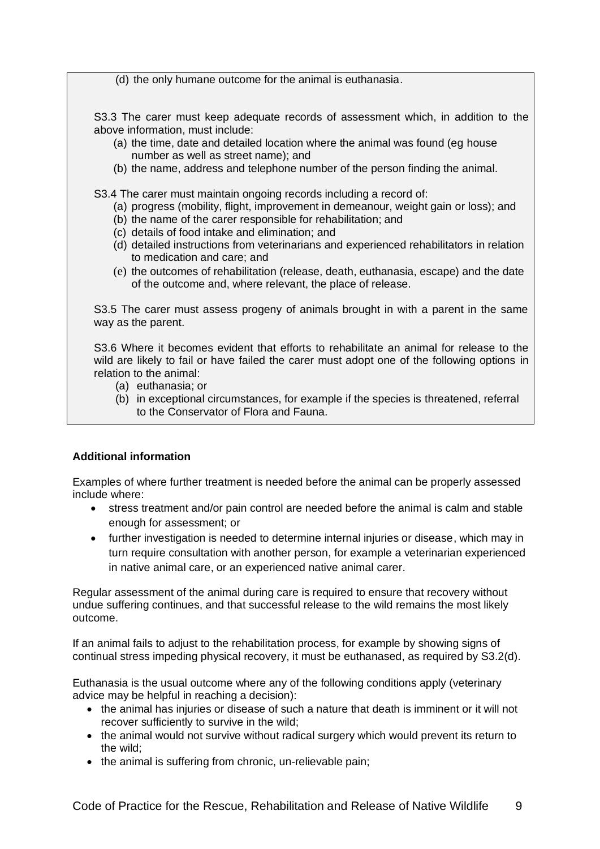(d) the only humane outcome for the animal is euthanasia.

S3.3 The carer must keep adequate records of assessment which, in addition to the above information, must include:

- (a) the time, date and detailed location where the animal was found (eg house number as well as street name); and
- (b) the name, address and telephone number of the person finding the animal.

S3.4 The carer must maintain ongoing records including a record of:

- (a) progress (mobility, flight, improvement in demeanour, weight gain or loss); and
- (b) the name of the carer responsible for rehabilitation; and
- (c) details of food intake and elimination; and
- (d) detailed instructions from veterinarians and experienced rehabilitators in relation to medication and care; and
- (e) the outcomes of rehabilitation (release, death, euthanasia, escape) and the date of the outcome and, where relevant, the place of release.

S3.5 The carer must assess progeny of animals brought in with a parent in the same way as the parent.

S3.6 Where it becomes evident that efforts to rehabilitate an animal for release to the wild are likely to fail or have failed the carer must adopt one of the following options in relation to the animal:

- (a) euthanasia; or
- (b) in exceptional circumstances, for example if the species is threatened, referral to the Conservator of Flora and Fauna.

## **Additional information**

Examples of where further treatment is needed before the animal can be properly assessed include where:

- stress treatment and/or pain control are needed before the animal is calm and stable enough for assessment; or
- further investigation is needed to determine internal injuries or disease, which may in turn require consultation with another person, for example a veterinarian experienced in native animal care, or an experienced native animal carer.

Regular assessment of the animal during care is required to ensure that recovery without undue suffering continues, and that successful release to the wild remains the most likely outcome.

If an animal fails to adjust to the rehabilitation process, for example by showing signs of continual stress impeding physical recovery, it must be euthanased, as required by S3.2(d).

Euthanasia is the usual outcome where any of the following conditions apply (veterinary advice may be helpful in reaching a decision):

- the animal has injuries or disease of such a nature that death is imminent or it will not recover sufficiently to survive in the wild;
- the animal would not survive without radical surgery which would prevent its return to the wild;
- the animal is suffering from chronic, un-relievable pain;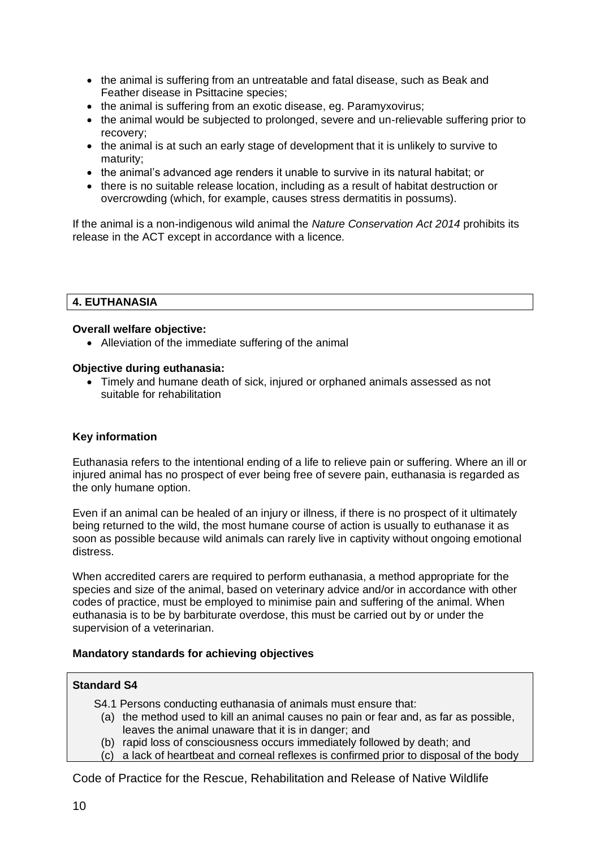- the animal is suffering from an untreatable and fatal disease, such as Beak and Feather disease in Psittacine species;
- the animal is suffering from an exotic disease, eg. Paramyxovirus;
- the animal would be subjected to prolonged, severe and un-relievable suffering prior to recovery;
- the animal is at such an early stage of development that it is unlikely to survive to maturity;
- the animal's advanced age renders it unable to survive in its natural habitat; or
- there is no suitable release location, including as a result of habitat destruction or overcrowding (which, for example, causes stress dermatitis in possums).

If the animal is a non-indigenous wild animal the *Nature Conservation Act 2014* prohibits its release in the ACT except in accordance with a licence*.*

## <span id="page-11-0"></span>**4. EUTHANASIA**

## **Overall welfare objective:**

• Alleviation of the immediate suffering of the animal

## **Objective during euthanasia:**

• Timely and humane death of sick, injured or orphaned animals assessed as not suitable for rehabilitation

## **Key information**

Euthanasia refers to the intentional ending of a life to relieve pain or suffering. Where an ill or injured animal has no prospect of ever being free of severe pain, euthanasia is regarded as the only humane option.

Even if an animal can be healed of an injury or illness, if there is no prospect of it ultimately being returned to the wild, the most humane course of action is usually to euthanase it as soon as possible because wild animals can rarely live in captivity without ongoing emotional distress.

When accredited carers are required to perform euthanasia, a method appropriate for the species and size of the animal, based on veterinary advice and/or in accordance with other codes of practice, must be employed to minimise pain and suffering of the animal. When euthanasia is to be by barbiturate overdose, this must be carried out by or under the supervision of a veterinarian.

## **Mandatory standards for achieving objectives**

## **Standard S4**

- S4.1 Persons conducting euthanasia of animals must ensure that:
	- (a) the method used to kill an animal causes no pain or fear and, as far as possible, leaves the animal unaware that it is in danger; and
	- (b) rapid loss of consciousness occurs immediately followed by death; and
	- (c) a lack of heartbeat and corneal reflexes is confirmed prior to disposal of the body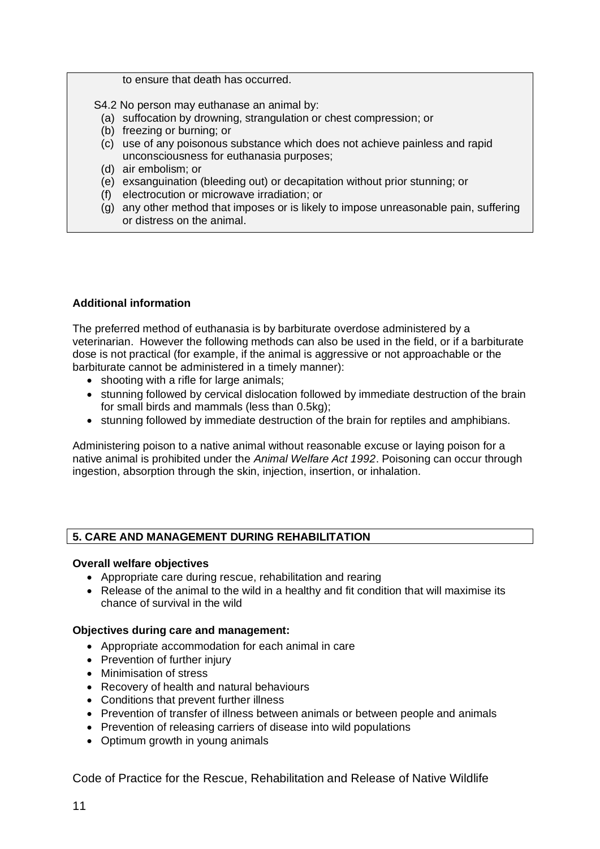to ensure that death has occurred.

S4.2 No person may euthanase an animal by:

- (a) suffocation by drowning, strangulation or chest compression; or
- (b) freezing or burning; or
- (c) use of any poisonous substance which does not achieve painless and rapid unconsciousness for euthanasia purposes;
- (d) air embolism; or
- (e) exsanguination (bleeding out) or decapitation without prior stunning; or
- (f) electrocution or microwave irradiation; or
- (g) any other method that imposes or is likely to impose unreasonable pain, suffering or distress on the animal.

## **Additional information**

The preferred method of euthanasia is by barbiturate overdose administered by a veterinarian. However the following methods can also be used in the field, or if a barbiturate dose is not practical (for example, if the animal is aggressive or not approachable or the barbiturate cannot be administered in a timely manner):

- shooting with a rifle for large animals;
- stunning followed by cervical dislocation followed by immediate destruction of the brain for small birds and mammals (less than 0.5kg);
- stunning followed by immediate destruction of the brain for reptiles and amphibians.

Administering poison to a native animal without reasonable excuse or laying poison for a native animal is prohibited under the *Animal Welfare Act 1992*. Poisoning can occur through ingestion, absorption through the skin, injection, insertion, or inhalation.

## <span id="page-12-0"></span>**5. CARE AND MANAGEMENT DURING REHABILITATION**

## **Overall welfare objectives**

- Appropriate care during rescue, rehabilitation and rearing
- Release of the animal to the wild in a healthy and fit condition that will maximise its chance of survival in the wild

## **Objectives during care and management:**

- Appropriate accommodation for each animal in care
- Prevention of further injury
- Minimisation of stress
- Recovery of health and natural behaviours
- Conditions that prevent further illness
- Prevention of transfer of illness between animals or between people and animals
- Prevention of releasing carriers of disease into wild populations
- Optimum growth in young animals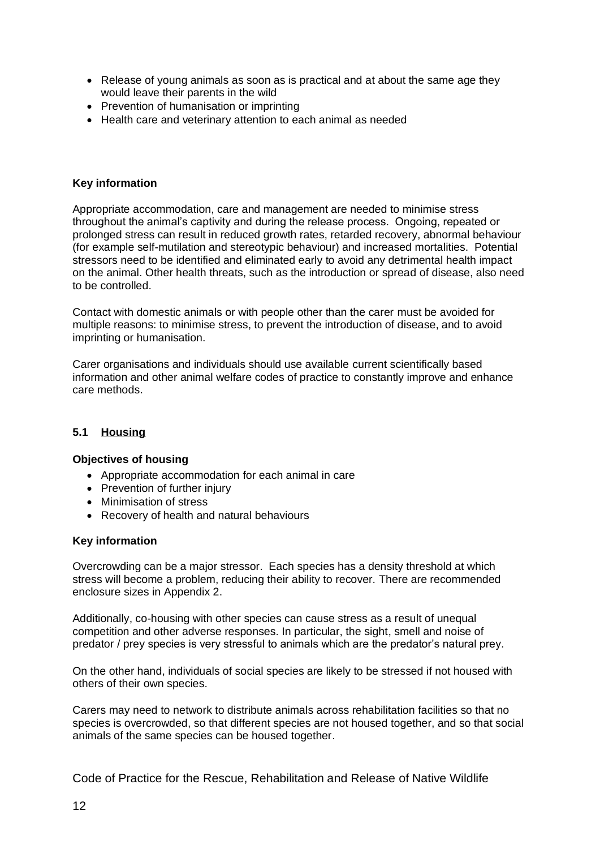- Release of young animals as soon as is practical and at about the same age they would leave their parents in the wild
- Prevention of humanisation or imprinting
- Health care and veterinary attention to each animal as needed

## **Key information**

Appropriate accommodation, care and management are needed to minimise stress throughout the animal's captivity and during the release process. Ongoing, repeated or prolonged stress can result in reduced growth rates, retarded recovery, abnormal behaviour (for example self-mutilation and stereotypic behaviour) and increased mortalities. Potential stressors need to be identified and eliminated early to avoid any detrimental health impact on the animal. Other health threats, such as the introduction or spread of disease, also need to be controlled.

Contact with domestic animals or with people other than the carer must be avoided for multiple reasons: to minimise stress, to prevent the introduction of disease, and to avoid imprinting or humanisation.

Carer organisations and individuals should use available current scientifically based information and other animal welfare codes of practice to constantly improve and enhance care methods.

## <span id="page-13-0"></span>**5.1 Housing**

## **Objectives of housing**

- Appropriate accommodation for each animal in care
- Prevention of further injury
- Minimisation of stress
- Recovery of health and natural behaviours

## **Key information**

Overcrowding can be a major stressor. Each species has a density threshold at which stress will become a problem, reducing their ability to recover. There are recommended enclosure sizes in Appendix 2.

Additionally, co-housing with other species can cause stress as a result of unequal competition and other adverse responses. In particular, the sight, smell and noise of predator / prey species is very stressful to animals which are the predator's natural prey.

On the other hand, individuals of social species are likely to be stressed if not housed with others of their own species.

Carers may need to network to distribute animals across rehabilitation facilities so that no species is overcrowded, so that different species are not housed together, and so that social animals of the same species can be housed together.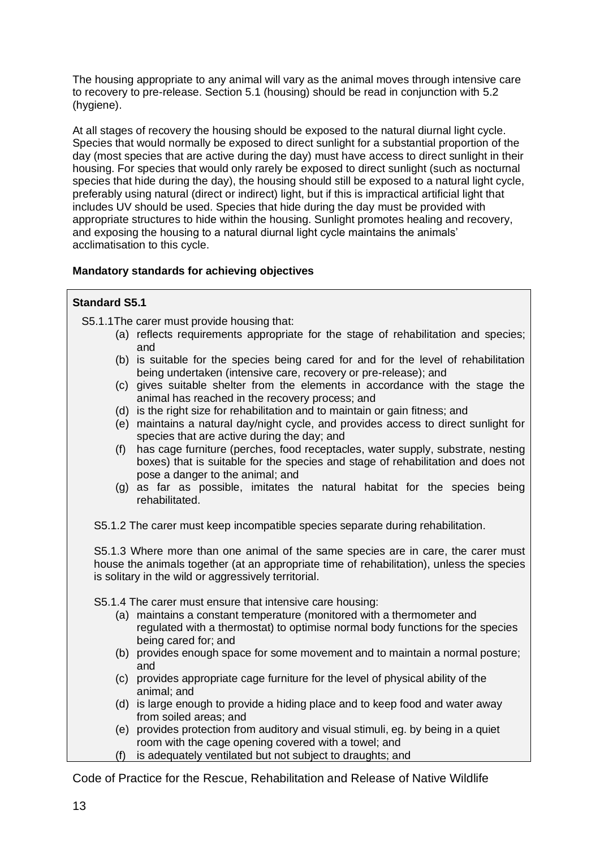The housing appropriate to any animal will vary as the animal moves through intensive care to recovery to pre-release. Section 5.1 (housing) should be read in conjunction with 5.2 (hygiene).

At all stages of recovery the housing should be exposed to the natural diurnal light cycle. Species that would normally be exposed to direct sunlight for a substantial proportion of the day (most species that are active during the day) must have access to direct sunlight in their housing. For species that would only rarely be exposed to direct sunlight (such as nocturnal species that hide during the day), the housing should still be exposed to a natural light cycle, preferably using natural (direct or indirect) light, but if this is impractical artificial light that includes UV should be used. Species that hide during the day must be provided with appropriate structures to hide within the housing. Sunlight promotes healing and recovery, and exposing the housing to a natural diurnal light cycle maintains the animals' acclimatisation to this cycle.

## **Mandatory standards for achieving objectives**

## **Standard S5.1**

S5.1.1The carer must provide housing that:

- (a) reflects requirements appropriate for the stage of rehabilitation and species; and
- (b) is suitable for the species being cared for and for the level of rehabilitation being undertaken (intensive care, recovery or pre-release); and
- (c) gives suitable shelter from the elements in accordance with the stage the animal has reached in the recovery process; and
- (d) is the right size for rehabilitation and to maintain or gain fitness; and
- (e) maintains a natural day/night cycle, and provides access to direct sunlight for species that are active during the day; and
- (f) has cage furniture (perches, food receptacles, water supply, substrate, nesting boxes) that is suitable for the species and stage of rehabilitation and does not pose a danger to the animal; and
- (g) as far as possible, imitates the natural habitat for the species being rehabilitated.
- S5.1.2 The carer must keep incompatible species separate during rehabilitation.

S5.1.3 Where more than one animal of the same species are in care, the carer must house the animals together (at an appropriate time of rehabilitation), unless the species is solitary in the wild or aggressively territorial.

S5.1.4 The carer must ensure that intensive care housing:

- (a) maintains a constant temperature (monitored with a thermometer and regulated with a thermostat) to optimise normal body functions for the species being cared for; and
- (b) provides enough space for some movement and to maintain a normal posture; and
- (c) provides appropriate cage furniture for the level of physical ability of the animal; and
- (d) is large enough to provide a hiding place and to keep food and water away from soiled areas; and
- (e) provides protection from auditory and visual stimuli, eg. by being in a quiet room with the cage opening covered with a towel; and
- (f) is adequately ventilated but not subject to draughts; and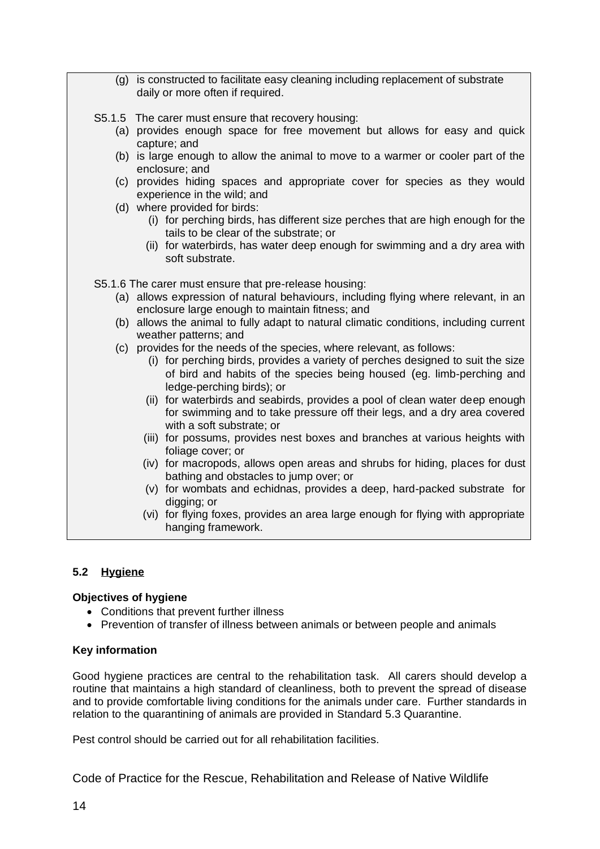| (g) is constructed to facilitate easy cleaning including replacement of substrate<br>daily or more often if required.                                                                                                                     |
|-------------------------------------------------------------------------------------------------------------------------------------------------------------------------------------------------------------------------------------------|
| S5.1.5 The carer must ensure that recovery housing:                                                                                                                                                                                       |
| (a) provides enough space for free movement but allows for easy and quick<br>capture; and                                                                                                                                                 |
| (b) is large enough to allow the animal to move to a warmer or cooler part of the<br>enclosure; and                                                                                                                                       |
| (c) provides hiding spaces and appropriate cover for species as they would<br>experience in the wild; and                                                                                                                                 |
| (d) where provided for birds:<br>(i) for perching birds, has different size perches that are high enough for the<br>tails to be clear of the substrate; or<br>(ii) for waterbirds, has water deep enough for swimming and a dry area with |
| soft substrate.                                                                                                                                                                                                                           |
| S5.1.6 The carer must ensure that pre-release housing:                                                                                                                                                                                    |
| (a) allows expression of natural behaviours, including flying where relevant, in an<br>enclosure large enough to maintain fitness; and                                                                                                    |
| (b) allows the animal to fully adapt to natural climatic conditions, including current<br>weather patterns; and                                                                                                                           |
| (c) provides for the needs of the species, where relevant, as follows:                                                                                                                                                                    |
| (i) for perching birds, provides a variety of perches designed to suit the size<br>of bird and habits of the species being housed (eg. limb-perching and<br>ledge-perching birds); or                                                     |
| (ii) for waterbirds and seabirds, provides a pool of clean water deep enough<br>for swimming and to take pressure off their legs, and a dry area covered<br>with a soft substrate; or                                                     |
| (iii) for possums, provides nest boxes and branches at various heights with<br>foliage cover; or                                                                                                                                          |
| (iv) for macropods, allows open areas and shrubs for hiding, places for dust<br>bathing and obstacles to jump over; or                                                                                                                    |
| (v) for wombats and echidnas, provides a deep, hard-packed substrate for<br>digging; or                                                                                                                                                   |
| (vi) for flying foxes, provides an area large enough for flying with appropriate<br>hanging framework.                                                                                                                                    |

## <span id="page-15-0"></span>**5.2 Hygiene**

## **Objectives of hygiene**

- Conditions that prevent further illness
- Prevention of transfer of illness between animals or between people and animals

## **Key information**

Good hygiene practices are central to the rehabilitation task. All carers should develop a routine that maintains a high standard of cleanliness, both to prevent the spread of disease and to provide comfortable living conditions for the animals under care. Further standards in relation to the quarantining of animals are provided in Standard 5.3 Quarantine.

Pest control should be carried out for all rehabilitation facilities.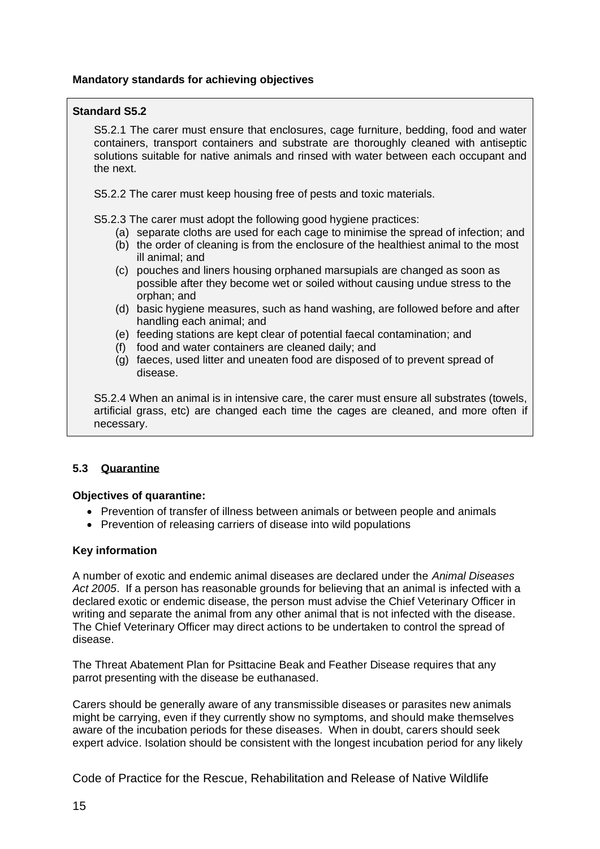## **Mandatory standards for achieving objectives**

## **Standard S5.2**

S5.2.1 The carer must ensure that enclosures, cage furniture, bedding, food and water containers, transport containers and substrate are thoroughly cleaned with antiseptic solutions suitable for native animals and rinsed with water between each occupant and the next.

S5.2.2 The carer must keep housing free of pests and toxic materials.

S5.2.3 The carer must adopt the following good hygiene practices:

- (a) separate cloths are used for each cage to minimise the spread of infection; and
- (b) the order of cleaning is from the enclosure of the healthiest animal to the most ill animal; and
- (c) pouches and liners housing orphaned marsupials are changed as soon as possible after they become wet or soiled without causing undue stress to the orphan; and
- (d) basic hygiene measures, such as hand washing, are followed before and after handling each animal; and
- (e) feeding stations are kept clear of potential faecal contamination; and
- (f) food and water containers are cleaned daily; and
- (g) faeces, used litter and uneaten food are disposed of to prevent spread of disease.

S5.2.4 When an animal is in intensive care, the carer must ensure all substrates (towels, artificial grass, etc) are changed each time the cages are cleaned, and more often if necessary.

## <span id="page-16-0"></span>**5.3 Quarantine**

## **Objectives of quarantine:**

- Prevention of transfer of illness between animals or between people and animals
- Prevention of releasing carriers of disease into wild populations

## **Key information**

A number of exotic and endemic animal diseases are declared under the *Animal Diseases Act 2005*. If a person has reasonable grounds for believing that an animal is infected with a declared exotic or endemic disease, the person must advise the Chief Veterinary Officer in writing and separate the animal from any other animal that is not infected with the disease. The Chief Veterinary Officer may direct actions to be undertaken to control the spread of disease.

The Threat Abatement Plan for Psittacine Beak and Feather Disease requires that any parrot presenting with the disease be euthanased.

Carers should be generally aware of any transmissible diseases or parasites new animals might be carrying, even if they currently show no symptoms, and should make themselves aware of the incubation periods for these diseases. When in doubt, carers should seek expert advice. Isolation should be consistent with the longest incubation period for any likely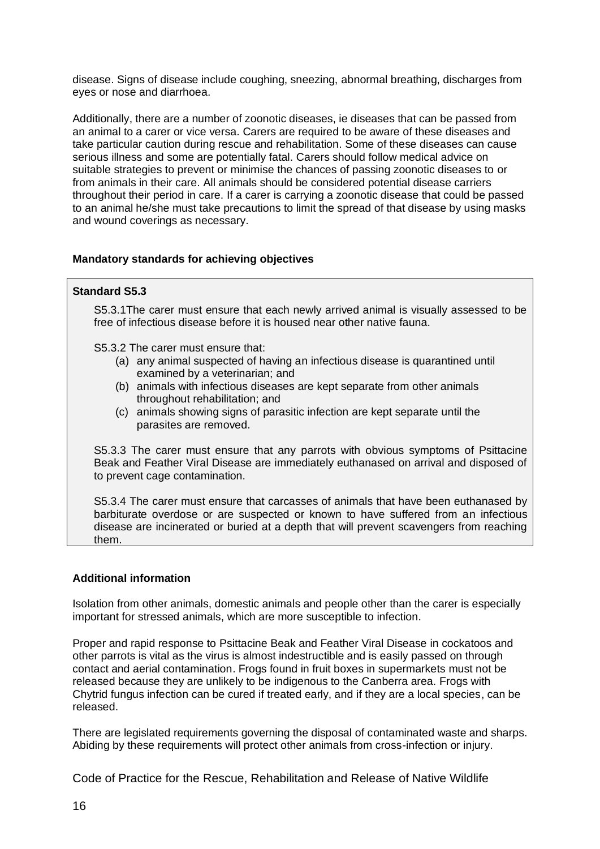disease. Signs of disease include coughing, sneezing, abnormal breathing, discharges from eyes or nose and diarrhoea.

Additionally, there are a number of zoonotic diseases, ie diseases that can be passed from an animal to a carer or vice versa. Carers are required to be aware of these diseases and take particular caution during rescue and rehabilitation. Some of these diseases can cause serious illness and some are potentially fatal. Carers should follow medical advice on suitable strategies to prevent or minimise the chances of passing zoonotic diseases to or from animals in their care. All animals should be considered potential disease carriers throughout their period in care. If a carer is carrying a zoonotic disease that could be passed to an animal he/she must take precautions to limit the spread of that disease by using masks and wound coverings as necessary.

## **Mandatory standards for achieving objectives**

## **Standard S5.3**

S5.3.1The carer must ensure that each newly arrived animal is visually assessed to be free of infectious disease before it is housed near other native fauna.

S5.3.2 The carer must ensure that:

- (a) any animal suspected of having an infectious disease is quarantined until examined by a veterinarian; and
- (b) animals with infectious diseases are kept separate from other animals throughout rehabilitation; and
- (c) animals showing signs of parasitic infection are kept separate until the parasites are removed.

S5.3.3 The carer must ensure that any parrots with obvious symptoms of Psittacine Beak and Feather Viral Disease are immediately euthanased on arrival and disposed of to prevent cage contamination.

S5.3.4 The carer must ensure that carcasses of animals that have been euthanased by barbiturate overdose or are suspected or known to have suffered from an infectious disease are incinerated or buried at a depth that will prevent scavengers from reaching them.

## **Additional information**

Isolation from other animals, domestic animals and people other than the carer is especially important for stressed animals, which are more susceptible to infection.

Proper and rapid response to Psittacine Beak and Feather Viral Disease in cockatoos and other parrots is vital as the virus is almost indestructible and is easily passed on through contact and aerial contamination. Frogs found in fruit boxes in supermarkets must not be released because they are unlikely to be indigenous to the Canberra area. Frogs with Chytrid fungus infection can be cured if treated early, and if they are a local species, can be released.

There are legislated requirements governing the disposal of contaminated waste and sharps. Abiding by these requirements will protect other animals from cross-infection or injury.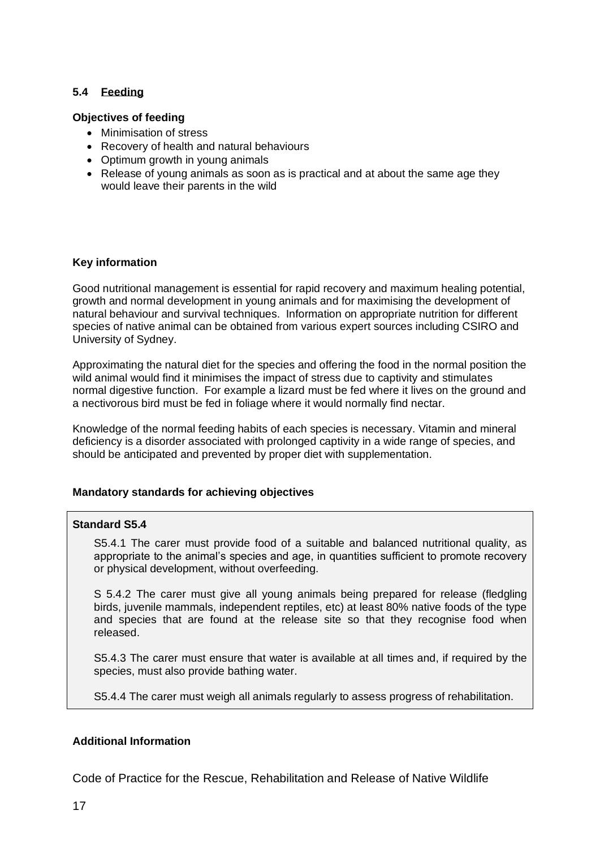## <span id="page-18-0"></span>**5.4 Feeding**

## **Objectives of feeding**

- Minimisation of stress
- Recovery of health and natural behaviours
- Optimum growth in young animals
- Release of young animals as soon as is practical and at about the same age they would leave their parents in the wild

#### **Key information**

Good nutritional management is essential for rapid recovery and maximum healing potential, growth and normal development in young animals and for maximising the development of natural behaviour and survival techniques. Information on appropriate nutrition for different species of native animal can be obtained from various expert sources including CSIRO and University of Sydney.

Approximating the natural diet for the species and offering the food in the normal position the wild animal would find it minimises the impact of stress due to captivity and stimulates normal digestive function. For example a lizard must be fed where it lives on the ground and a nectivorous bird must be fed in foliage where it would normally find nectar.

Knowledge of the normal feeding habits of each species is necessary. Vitamin and mineral deficiency is a disorder associated with prolonged captivity in a wide range of species, and should be anticipated and prevented by proper diet with supplementation.

## **Mandatory standards for achieving objectives**

#### **Standard S5.4**

S5.4.1 The carer must provide food of a suitable and balanced nutritional quality, as appropriate to the animal's species and age, in quantities sufficient to promote recovery or physical development, without overfeeding.

S 5.4.2 The carer must give all young animals being prepared for release (fledgling birds, juvenile mammals, independent reptiles, etc) at least 80% native foods of the type and species that are found at the release site so that they recognise food when released.

S5.4.3 The carer must ensure that water is available at all times and, if required by the species, must also provide bathing water.

S5.4.4 The carer must weigh all animals regularly to assess progress of rehabilitation.

## **Additional Information**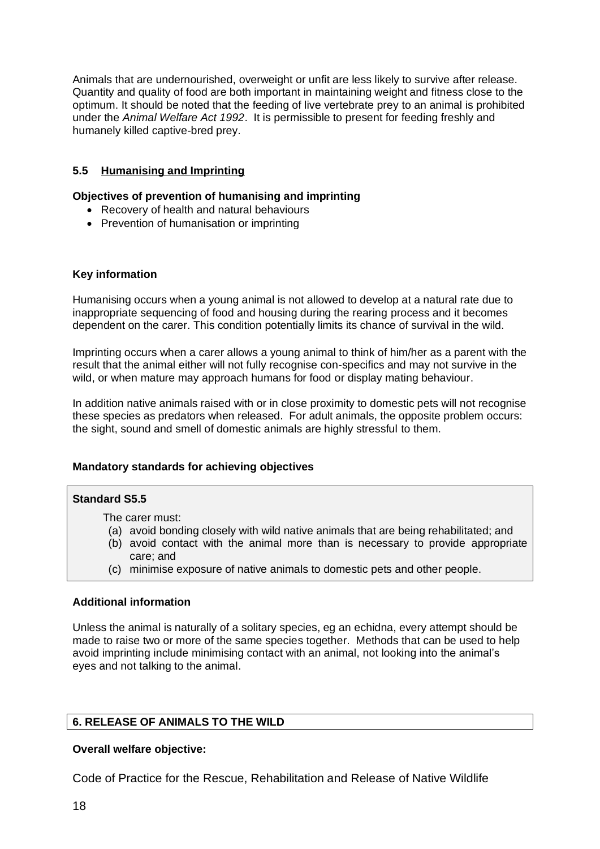Animals that are undernourished, overweight or unfit are less likely to survive after release. Quantity and quality of food are both important in maintaining weight and fitness close to the optimum. It should be noted that the feeding of live vertebrate prey to an animal is prohibited under the *Animal Welfare Act 1992*. It is permissible to present for feeding freshly and humanely killed captive-bred prey.

## <span id="page-19-0"></span>**5.5 Humanising and Imprinting**

#### **Objectives of prevention of humanising and imprinting**

- Recovery of health and natural behaviours
- Prevention of humanisation or imprinting

#### **Key information**

Humanising occurs when a young animal is not allowed to develop at a natural rate due to inappropriate sequencing of food and housing during the rearing process and it becomes dependent on the carer. This condition potentially limits its chance of survival in the wild.

Imprinting occurs when a carer allows a young animal to think of him/her as a parent with the result that the animal either will not fully recognise con-specifics and may not survive in the wild, or when mature may approach humans for food or display mating behaviour.

In addition native animals raised with or in close proximity to domestic pets will not recognise these species as predators when released. For adult animals, the opposite problem occurs: the sight, sound and smell of domestic animals are highly stressful to them.

## **Mandatory standards for achieving objectives**

#### **Standard S5.5**

The carer must:

- (a) avoid bonding closely with wild native animals that are being rehabilitated; and
- (b) avoid contact with the animal more than is necessary to provide appropriate care; and
- (c) minimise exposure of native animals to domestic pets and other people.

#### **Additional information**

Unless the animal is naturally of a solitary species, eg an echidna, every attempt should be made to raise two or more of the same species together. Methods that can be used to help avoid imprinting include minimising contact with an animal, not looking into the animal's eyes and not talking to the animal.

## <span id="page-19-1"></span>**6. RELEASE OF ANIMALS TO THE WILD**

#### **Overall welfare objective:**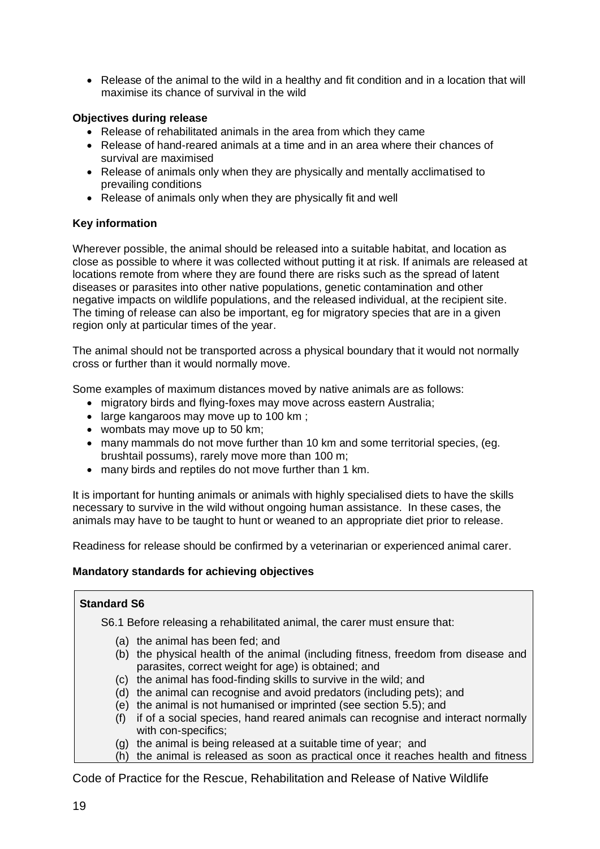• Release of the animal to the wild in a healthy and fit condition and in a location that will maximise its chance of survival in the wild

## **Objectives during release**

- Release of rehabilitated animals in the area from which they came
- Release of hand-reared animals at a time and in an area where their chances of survival are maximised
- Release of animals only when they are physically and mentally acclimatised to prevailing conditions
- Release of animals only when they are physically fit and well

## **Key information**

Wherever possible, the animal should be released into a suitable habitat, and location as close as possible to where it was collected without putting it at risk. If animals are released at locations remote from where they are found there are risks such as the spread of latent diseases or parasites into other native populations, genetic contamination and other negative impacts on wildlife populations, and the released individual, at the recipient site. The timing of release can also be important, eg for migratory species that are in a given region only at particular times of the year.

The animal should not be transported across a physical boundary that it would not normally cross or further than it would normally move.

Some examples of maximum distances moved by native animals are as follows:

- migratory birds and flying-foxes may move across eastern Australia;
- large kangaroos may move up to 100 km;
- wombats may move up to 50 km;
- many mammals do not move further than 10 km and some territorial species, (eg. brushtail possums), rarely move more than 100 m;
- many birds and reptiles do not move further than 1 km.

It is important for hunting animals or animals with highly specialised diets to have the skills necessary to survive in the wild without ongoing human assistance. In these cases, the animals may have to be taught to hunt or weaned to an appropriate diet prior to release.

Readiness for release should be confirmed by a veterinarian or experienced animal carer.

## **Mandatory standards for achieving objectives**

## **Standard S6**

S6.1 Before releasing a rehabilitated animal, the carer must ensure that:

- (a) the animal has been fed; and
- (b) the physical health of the animal (including fitness, freedom from disease and parasites, correct weight for age) is obtained; and
- (c) the animal has food-finding skills to survive in the wild; and
- (d) the animal can recognise and avoid predators (including pets); and
- (e) the animal is not humanised or imprinted (see section 5.5); and
- (f) if of a social species, hand reared animals can recognise and interact normally with con-specifics;
- (g) the animal is being released at a suitable time of year; and
- (h) the animal is released as soon as practical once it reaches health and fitness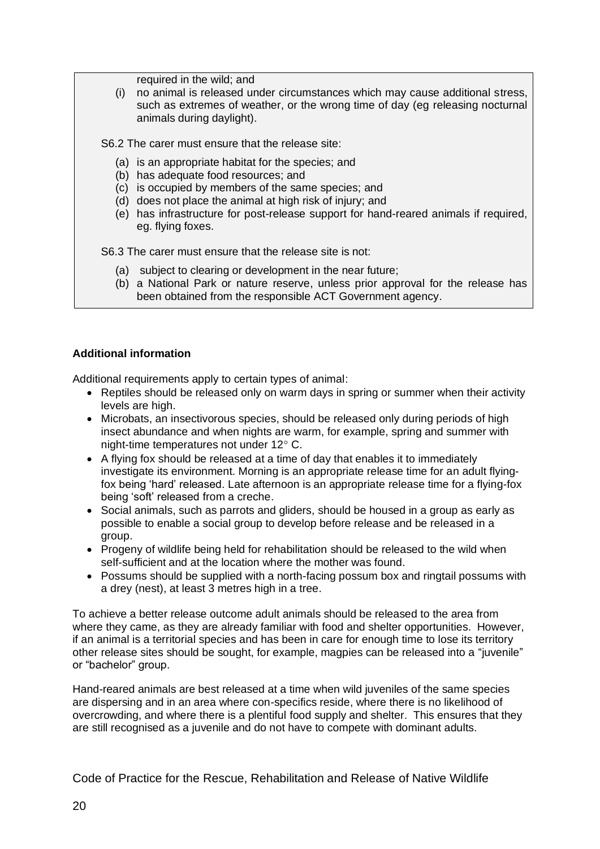required in the wild; and

(i) no animal is released under circumstances which may cause additional stress, such as extremes of weather, or the wrong time of day (eg releasing nocturnal animals during daylight).

S6.2 The carer must ensure that the release site:

- (a) is an appropriate habitat for the species; and
- (b) has adequate food resources; and
- (c) is occupied by members of the same species; and
- (d) does not place the animal at high risk of injury; and
- (e) has infrastructure for post-release support for hand-reared animals if required, eg. flying foxes.

S6.3 The carer must ensure that the release site is not:

- (a) subject to clearing or development in the near future;
- (b) a National Park or nature reserve, unless prior approval for the release has been obtained from the responsible ACT Government agency.

## **Additional information**

Additional requirements apply to certain types of animal:

- Reptiles should be released only on warm days in spring or summer when their activity levels are high.
- Microbats, an insectivorous species, should be released only during periods of high insect abundance and when nights are warm, for example, spring and summer with night-time temperatures not under 12° C.
- A flying fox should be released at a time of day that enables it to immediately investigate its environment. Morning is an appropriate release time for an adult flyingfox being 'hard' released. Late afternoon is an appropriate release time for a flying-fox being 'soft' released from a creche.
- Social animals, such as parrots and gliders, should be housed in a group as early as possible to enable a social group to develop before release and be released in a group.
- Progeny of wildlife being held for rehabilitation should be released to the wild when self-sufficient and at the location where the mother was found.
- Possums should be supplied with a north-facing possum box and ringtail possums with a drey (nest), at least 3 metres high in a tree.

To achieve a better release outcome adult animals should be released to the area from where they came, as they are already familiar with food and shelter opportunities. However, if an animal is a territorial species and has been in care for enough time to lose its territory other release sites should be sought, for example, magpies can be released into a "juvenile" or "bachelor" group.

Hand-reared animals are best released at a time when wild juveniles of the same species are dispersing and in an area where con-specifics reside, where there is no likelihood of overcrowding, and where there is a plentiful food supply and shelter. This ensures that they are still recognised as a juvenile and do not have to compete with dominant adults.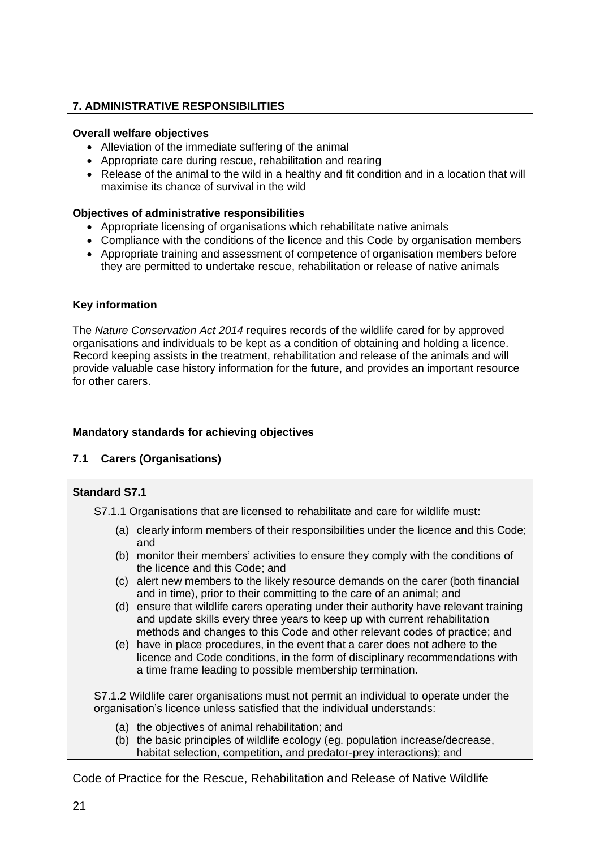## <span id="page-22-0"></span>**7. ADMINISTRATIVE RESPONSIBILITIES**

## **Overall welfare objectives**

- Alleviation of the immediate suffering of the animal
- Appropriate care during rescue, rehabilitation and rearing
- Release of the animal to the wild in a healthy and fit condition and in a location that will maximise its chance of survival in the wild

## **Objectives of administrative responsibilities**

- Appropriate licensing of organisations which rehabilitate native animals
- Compliance with the conditions of the licence and this Code by organisation members
- Appropriate training and assessment of competence of organisation members before they are permitted to undertake rescue, rehabilitation or release of native animals

## **Key information**

The *Nature Conservation Act 2014* requires records of the wildlife cared for by approved organisations and individuals to be kept as a condition of obtaining and holding a licence. Record keeping assists in the treatment, rehabilitation and release of the animals and will provide valuable case history information for the future, and provides an important resource for other carers.

## **Mandatory standards for achieving objectives**

## <span id="page-22-1"></span>**7.1 Carers (Organisations)**

## **Standard S7.1**

S7.1.1 Organisations that are licensed to rehabilitate and care for wildlife must:

- (a) clearly inform members of their responsibilities under the licence and this Code; and
- (b) monitor their members' activities to ensure they comply with the conditions of the licence and this Code; and
- (c) alert new members to the likely resource demands on the carer (both financial and in time), prior to their committing to the care of an animal; and
- (d) ensure that wildlife carers operating under their authority have relevant training and update skills every three years to keep up with current rehabilitation methods and changes to this Code and other relevant codes of practice; and
- (e) have in place procedures, in the event that a carer does not adhere to the licence and Code conditions, in the form of disciplinary recommendations with a time frame leading to possible membership termination.

S7.1.2 Wildlife carer organisations must not permit an individual to operate under the organisation's licence unless satisfied that the individual understands:

- (a) the objectives of animal rehabilitation; and
- (b) the basic principles of wildlife ecology (eg. population increase/decrease, habitat selection, competition, and predator-prey interactions); and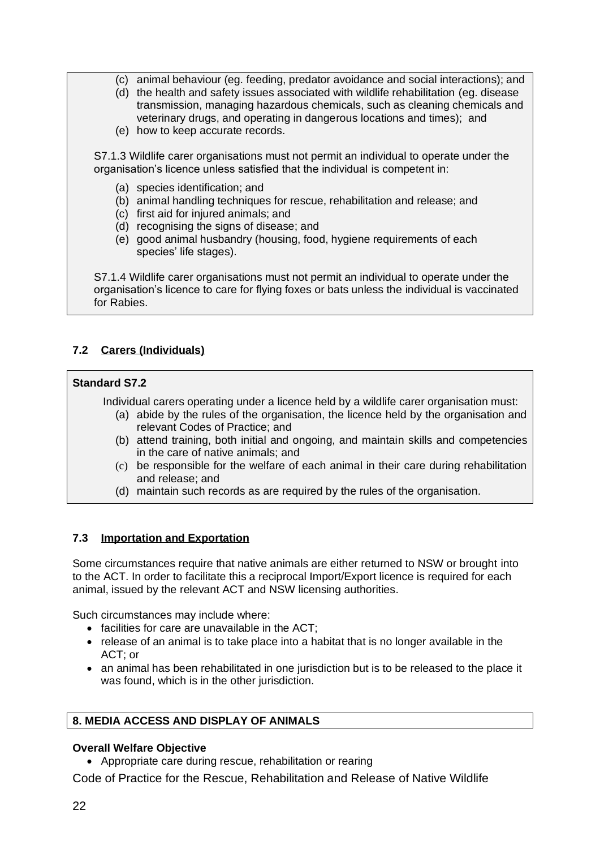- (c) animal behaviour (eg. feeding, predator avoidance and social interactions); and
- (d) the health and safety issues associated with wildlife rehabilitation (eg. disease transmission, managing hazardous chemicals, such as cleaning chemicals and veterinary drugs, and operating in dangerous locations and times); and
- (e) how to keep accurate records.

S7.1.3 Wildlife carer organisations must not permit an individual to operate under the organisation's licence unless satisfied that the individual is competent in:

- (a) species identification; and
- (b) animal handling techniques for rescue, rehabilitation and release; and
- (c) first aid for injured animals; and
- (d) recognising the signs of disease; and
- (e) good animal husbandry (housing, food, hygiene requirements of each species' life stages).

S7.1.4 Wildlife carer organisations must not permit an individual to operate under the organisation's licence to care for flying foxes or bats unless the individual is vaccinated for Rabies.

## <span id="page-23-0"></span>**7.2 Carers (Individuals)**

## **Standard S7.2**

Individual carers operating under a licence held by a wildlife carer organisation must:

- (a) abide by the rules of the organisation, the licence held by the organisation and relevant Codes of Practice; and
- (b) attend training, both initial and ongoing, and maintain skills and competencies in the care of native animals; and
- (c) be responsible for the welfare of each animal in their care during rehabilitation and release; and
- (d) maintain such records as are required by the rules of the organisation.

## <span id="page-23-1"></span>**7.3 Importation and Exportation**

Some circumstances require that native animals are either returned to NSW or brought into to the ACT. In order to facilitate this a reciprocal Import/Export licence is required for each animal, issued by the relevant ACT and NSW licensing authorities.

Such circumstances may include where:

- facilities for care are unavailable in the ACT;
- release of an animal is to take place into a habitat that is no longer available in the ACT; or
- an animal has been rehabilitated in one jurisdiction but is to be released to the place it was found, which is in the other jurisdiction.

## <span id="page-23-2"></span>**8. MEDIA ACCESS AND DISPLAY OF ANIMALS**

## **Overall Welfare Objective**

• Appropriate care during rescue, rehabilitation or rearing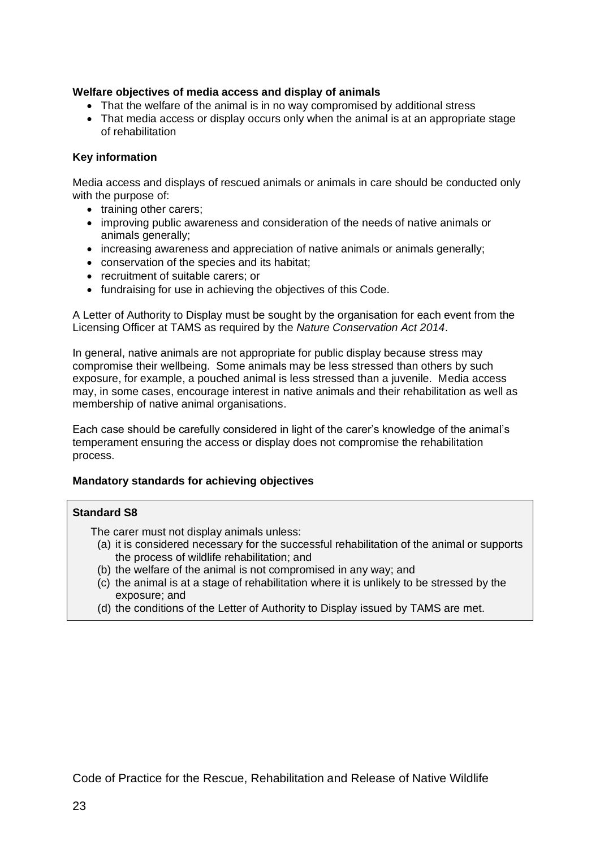## **Welfare objectives of media access and display of animals**

- That the welfare of the animal is in no way compromised by additional stress
- That media access or display occurs only when the animal is at an appropriate stage of rehabilitation

## **Key information**

Media access and displays of rescued animals or animals in care should be conducted only with the purpose of:

- training other carers;
- improving public awareness and consideration of the needs of native animals or animals generally;
- increasing awareness and appreciation of native animals or animals generally;
- conservation of the species and its habitat;
- recruitment of suitable carers; or
- fundraising for use in achieving the objectives of this Code.

A Letter of Authority to Display must be sought by the organisation for each event from the Licensing Officer at TAMS as required by the *Nature Conservation Act 2014*.

In general, native animals are not appropriate for public display because stress may compromise their wellbeing. Some animals may be less stressed than others by such exposure, for example, a pouched animal is less stressed than a juvenile. Media access may, in some cases, encourage interest in native animals and their rehabilitation as well as membership of native animal organisations.

Each case should be carefully considered in light of the carer's knowledge of the animal's temperament ensuring the access or display does not compromise the rehabilitation process.

## **Mandatory standards for achieving objectives**

#### **Standard S8**

The carer must not display animals unless:

- (a) it is considered necessary for the successful rehabilitation of the animal or supports the process of wildlife rehabilitation; and
- (b) the welfare of the animal is not compromised in any way; and
- (c) the animal is at a stage of rehabilitation where it is unlikely to be stressed by the exposure; and
- (d) the conditions of the Letter of Authority to Display issued by TAMS are met.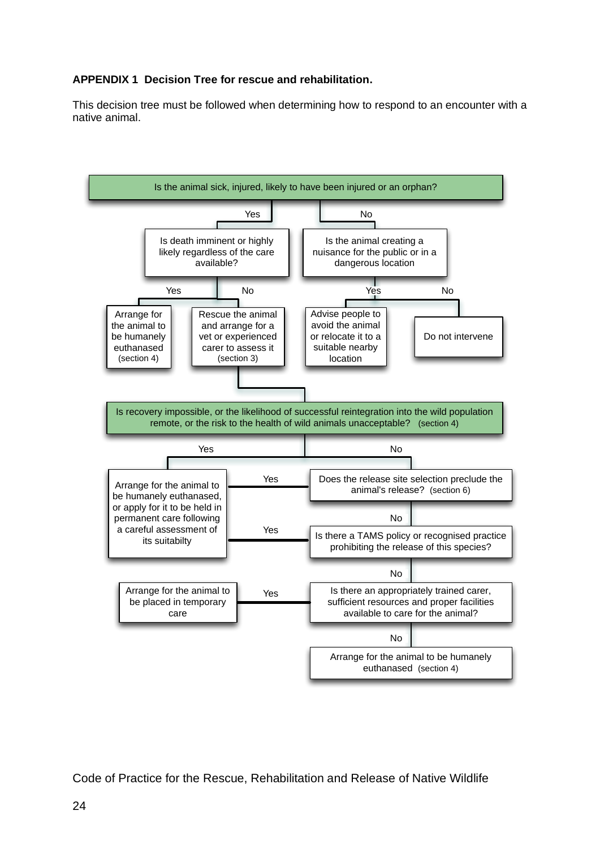## <span id="page-25-0"></span>**APPENDIX 1 Decision Tree for rescue and rehabilitation.**

This decision tree must be followed when determining how to respond to an encounter with a native animal.

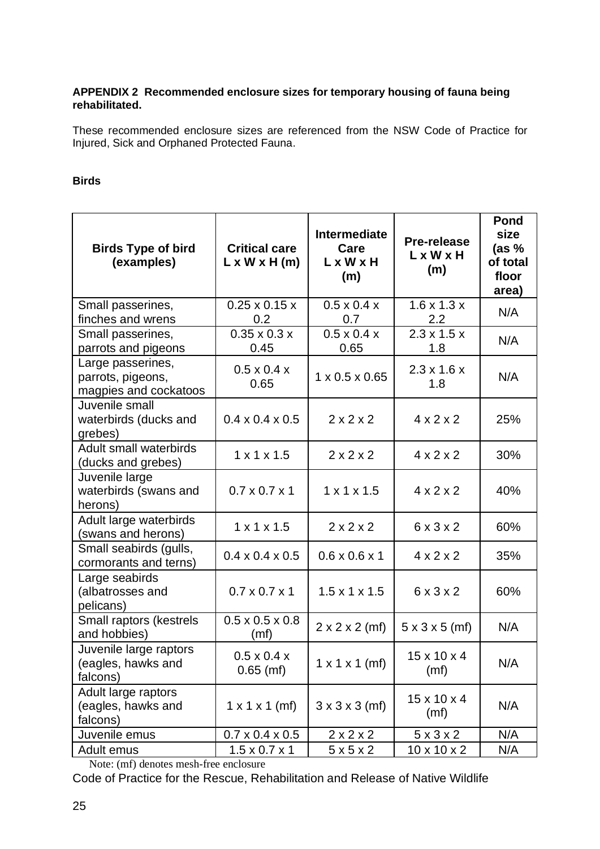## <span id="page-26-0"></span>**APPENDIX 2 Recommended enclosure sizes for temporary housing of fauna being rehabilitated.**

These recommended enclosure sizes are referenced from the NSW Code of Practice for Injured, Sick and Orphaned Protected Fauna.

## **Birds**

| <b>Birds Type of bird</b><br>(examples)                         | <b>Critical care</b><br>$L \times W \times H$ (m) | <b>Intermediate</b><br>Care<br>L x W x H<br>(m) | <b>Pre-release</b><br>LxWxH<br>(m) | Pond<br>size<br>(as %<br>of total<br>floor<br>area) |
|-----------------------------------------------------------------|---------------------------------------------------|-------------------------------------------------|------------------------------------|-----------------------------------------------------|
| Small passerines,<br>finches and wrens                          | $0.25 \times 0.15 \times$<br>0.2                  | $0.5 \times 0.4 \times$<br>0.7                  | $1.6 \times 1.3 \times$<br>2.2     | N/A                                                 |
| Small passerines,<br>parrots and pigeons                        | $0.35 \times 0.3 \times$<br>0.45                  | $0.5 \times 0.4 \times$<br>0.65                 | $2.3 \times 1.5 \times$<br>1.8     | N/A                                                 |
| Large passerines,<br>parrots, pigeons,<br>magpies and cockatoos | $0.5 \times 0.4 \times$<br>0.65                   | $1 \times 0.5 \times 0.65$                      | $2.3 \times 1.6 \times$<br>1.8     | N/A                                                 |
| Juvenile small<br>waterbirds (ducks and<br>grebes)              | $0.4 \times 0.4 \times 0.5$                       | 2x2x2                                           | $4 \times 2 \times 2$              | 25%                                                 |
| <b>Adult small waterbirds</b><br>(ducks and grebes)             | $1 \times 1 \times 1.5$                           | 2x2x2                                           | $4 \times 2 \times 2$              | 30%                                                 |
| Juvenile large<br>waterbirds (swans and<br>herons)              | $0.7 \times 0.7 \times 1$                         | $1 \times 1 \times 1.5$                         | $4 \times 2 \times 2$              | 40%                                                 |
| Adult large waterbirds<br>(swans and herons)                    | $1 \times 1 \times 1.5$                           | 2x2x2                                           | 6x3x2                              | 60%                                                 |
| Small seabirds (gulls,<br>cormorants and terns)                 | $0.4 \times 0.4 \times 0.5$                       | $0.6 \times 0.6 \times 1$                       | $4 \times 2 \times 2$              | 35%                                                 |
| Large seabirds<br>(albatrosses and<br>pelicans)                 | $0.7 \times 0.7 \times 1$                         | $1.5 \times 1 \times 1.5$                       | 6x3x2                              | 60%                                                 |
| Small raptors (kestrels<br>and hobbies)                         | $0.5 \times 0.5 \times 0.8$<br>(mf)               | $2 \times 2 \times 2$ (mf)                      | $5 \times 3 \times 5$ (mf)         | N/A                                                 |
| Juvenile large raptors<br>(eagles, hawks and<br>falcons)        | $0.5 \times 0.4 \times$<br>$0.65$ (mf)            | $1 \times 1 \times 1$ (mf)                      | $15 \times 10 \times 4$<br>(mf)    | N/A                                                 |
| Adult large raptors<br>(eagles, hawks and<br>falcons)           | $1 \times 1 \times 1$ (mf)                        | $3 \times 3 \times 3$ (mf)                      | $15 \times 10 \times 4$<br>(mf)    | N/A                                                 |
| Juvenile emus                                                   | $0.7 \times 0.4 \times 0.5$                       | 2x2x2                                           | $5 \times 3 \times 2$              | N/A                                                 |
| Adult emus                                                      | $1.5 \times 0.7 \times 1$                         | 5x5x2                                           | $10 \times 10 \times 2$            | N/A                                                 |

Note: (mf) denotes mesh-free enclosure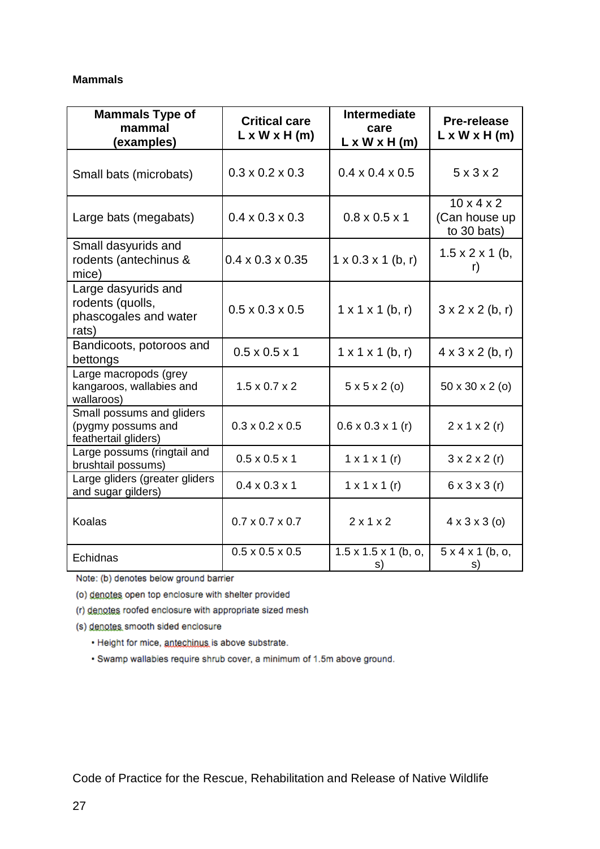## **Mammals**

| <b>Mammals Type of</b><br>mammal<br>(examples)                            | <b>Critical care</b><br>$L \times W \times H$ (m) | <b>Intermediate</b><br>care<br>$L \times W \times H$ (m) | Pre-release<br>$L \times W \times H$ (m)               |
|---------------------------------------------------------------------------|---------------------------------------------------|----------------------------------------------------------|--------------------------------------------------------|
| Small bats (microbats)                                                    | $0.3 \times 0.2 \times 0.3$                       | $0.4 \times 0.4 \times 0.5$                              | $5 \times 3 \times 2$                                  |
| Large bats (megabats)                                                     | $0.4 \times 0.3 \times 0.3$                       | $0.8 \times 0.5 \times 1$                                | $10 \times 4 \times 2$<br>(Can house up<br>to 30 bats) |
| Small dasyurids and<br>rodents (antechinus &<br>mice)                     | $0.4 \times 0.3 \times 0.35$                      | $1 \times 0.3 \times 1$ (b, r)                           | $1.5 \times 2 \times 1$ (b,<br>r)                      |
| Large dasyurids and<br>rodents (quolls,<br>phascogales and water<br>rats) | $0.5 \times 0.3 \times 0.5$                       | $1 \times 1 \times 1$ (b, r)                             | $3 \times 2 \times 2$ (b, r)                           |
| Bandicoots, potoroos and<br>bettongs                                      | $0.5 \times 0.5 \times 1$                         | $1 \times 1 \times 1$ (b, r)                             | $4 \times 3 \times 2$ (b, r)                           |
| Large macropods (grey<br>kangaroos, wallabies and<br>wallaroos)           | $1.5 \times 0.7 \times 2$                         | $5 \times 5 \times 2$ (o)                                | 50 x 30 x 2 (o)                                        |
| Small possums and gliders<br>(pygmy possums and<br>feathertail gliders)   | $0.3 \times 0.2 \times 0.5$                       | $0.6 \times 0.3 \times 1$ (r)                            | $2 \times 1 \times 2$ (r)                              |
| Large possums (ringtail and<br>brushtail possums)                         | $0.5 \times 0.5 \times 1$                         | $1 \times 1 \times 1$ (r)                                | $3 \times 2 \times 2$ (r)                              |
| Large gliders (greater gliders<br>and sugar gilders)                      | $0.4 \times 0.3 \times 1$                         | $1 \times 1 \times 1$ (r)                                | $6 \times 3 \times 3$ (r)                              |
| <b>Koalas</b>                                                             | $0.7 \times 0.7 \times 0.7$                       | 2x1x2                                                    | $4 \times 3 \times 3$ (o)                              |
| Echidnas                                                                  | $0.5 \times 0.5 \times 0.5$                       | $1.5 \times 1.5 \times 1$ (b, o,<br>s)                   | 5x4x1(b, o,<br>s)                                      |

Note: (b) denotes below ground barrier

(o) denotes open top enclosure with shelter provided

(r) denotes roofed enclosure with appropriate sized mesh

(s) denotes smooth sided enclosure

· Height for mice, antechinus is above substrate.

· Swamp wallabies require shrub cover, a minimum of 1.5m above ground.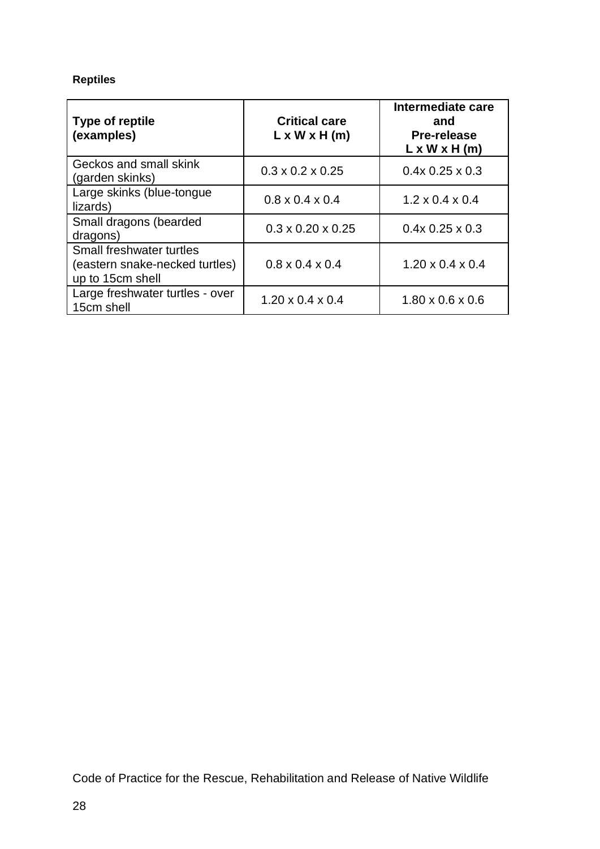# **Reptiles**

| <b>Type of reptile</b><br>(examples)                                           | <b>Critical care</b><br>$L \times W \times H$ (m) | Intermediate care<br>and<br><b>Pre-release</b><br>$L \times W \times H$ (m) |
|--------------------------------------------------------------------------------|---------------------------------------------------|-----------------------------------------------------------------------------|
| Geckos and small skink<br>(garden skinks)                                      | $0.3 \times 0.2 \times 0.25$                      | $0.4x$ 0.25 $\times$ 0.3                                                    |
| Large skinks (blue-tongue<br>lizards)                                          | $0.8 \times 0.4 \times 0.4$                       | $1.2 \times 0.4 \times 0.4$                                                 |
| Small dragons (bearded<br>dragons)                                             | $0.3 \times 0.20 \times 0.25$                     | $0.4x$ 0.25 $\times$ 0.3                                                    |
| Small freshwater turtles<br>(eastern snake-necked turtles)<br>up to 15cm shell | $0.8 \times 0.4 \times 0.4$                       | $1.20 \times 0.4 \times 0.4$                                                |
| Large freshwater turtles - over<br>15cm shell                                  | $1.20 \times 0.4 \times 0.4$                      | $1.80 \times 0.6 \times 0.6$                                                |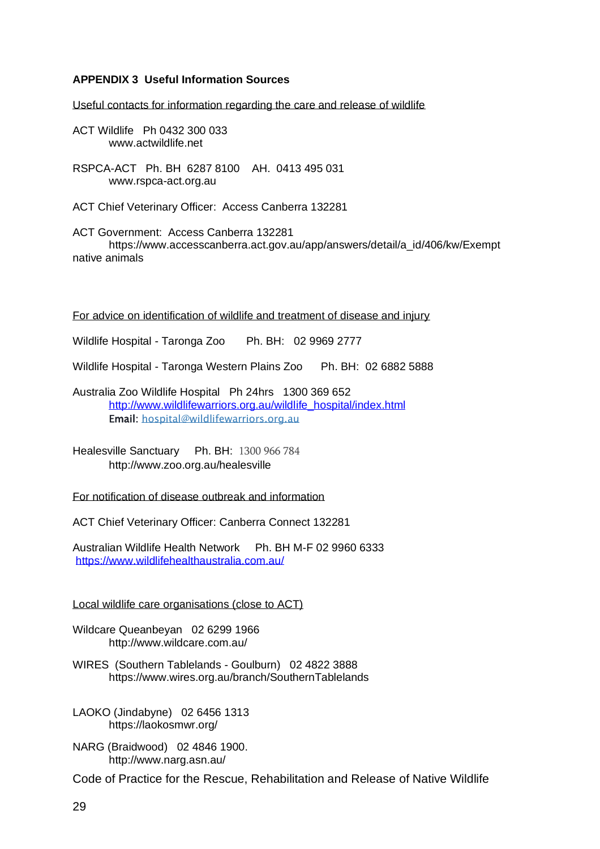#### <span id="page-30-0"></span>**APPENDIX 3 Useful Information Sources**

Useful contacts for information regarding the care and release of wildlife

ACT Wildlife Ph 0432 300 033 www.actwildlife.net

RSPCA-ACT Ph. BH 6287 8100 AH. 0413 495 031 [www.rspca-act.org.au](http://www.rspca-act.org.au/)

ACT Chief Veterinary Officer: Access Canberra 132281

ACT Government: Access Canberra 132281 https://www.accesscanberra.act.gov.au/app/answers/detail/a\_id/406/kw/Exempt native animals

For advice on identification of wildlife and treatment of disease and injury

Wildlife Hospital - Taronga Zoo Ph. BH: 02 9969 2777

Wildlife Hospital - Taronga Western Plains Zoo Ph. BH: 02 6882 5888

Australia Zoo Wildlife Hospital Ph 24hrs 1300 369 652 [http://www.wildlifewarriors.org.au/wildlife\\_hospital/index.html](http://www.wildlifewarriors.org.au/wildlife_hospital/index.html) Email: hospital@wildlifewarriors.org.au

Healesville Sanctuary Ph. BH: 1300 966 784 http://www.zoo.org.au/healesville

For notification of disease outbreak and information

ACT Chief Veterinary Officer: Canberra Connect 132281

Australian Wildlife Health Network Ph. BH M-F 02 9960 6333 <https://www.wildlifehealthaustralia.com.au/>

Local wildlife care organisations (close to ACT)

Wildcare Queanbeyan 02 6299 1966 http://www.wildcare.com.au/

WIRES (Southern Tablelands - Goulburn) 02 4822 3888 https://www.wires.org.au/branch/SouthernTablelands

LAOKO (Jindabyne) 02 6456 1313 https://laokosmwr.org/

NARG (Braidwood) 02 4846 1900. http://www.narg.asn.au/